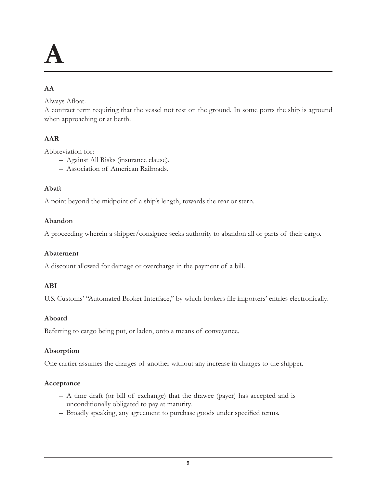## **A**

## **AA**

Always Afloat.

A contract term requiring that the vessel not rest on the ground. In some ports the ship is aground when approaching or at berth.

## **AAR**

Abbreviation for:

- Against All Risks (insurance clause).
- Association of American Railroads.

## **Abaft**

A point beyond the midpoint of a ship's length, towards the rear or stern.

## **Abandon**

A proceeding wherein a shipper/consignee seeks authority to abandon all or parts of their cargo.

#### **Abatement**

A discount allowed for damage or overcharge in the payment of a bill.

## **ABI**

U.S. Customs' "Automated Broker Interface," by which brokers file importers' entries electronically.

## **Aboard**

Referring to cargo being put, or laden, onto a means of conveyance.

## **Absorption**

One carrier assumes the charges of another without any increase in charges to the shipper.

## **Acceptance**

- A time draft (or bill of exchange) that the drawee (payer) has accepted and is unconditionally obligated to pay at maturity.
- Broadly speaking, any agreement to purchase goods under specified terms.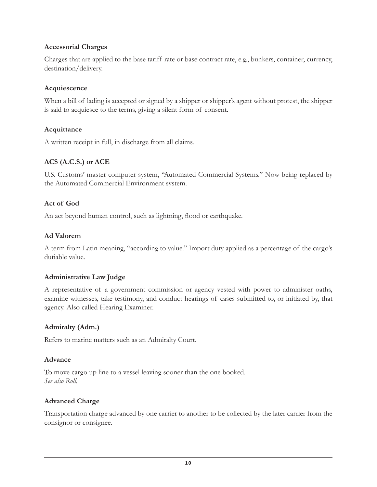#### **Accessorial Charges**

Charges that are applied to the base tariff rate or base contract rate, e.g., bunkers, container, currency, destination/delivery.

#### **Acquiescence**

When a bill of lading is accepted or signed by a shipper or shipper's agent without protest, the shipper is said to acquiesce to the terms, giving a silent form of consent.

## **Acquittance**

A written receipt in full, in discharge from all claims.

## **ACS (A.C.S.) or ACE**

U.S. Customs' master computer system, "Automated Commercial Systems." Now being replaced by the Automated Commercial Environment system.

## **Act of God**

An act beyond human control, such as lightning, flood or earthquake.

## **Ad Valorem**

A term from Latin meaning, "according to value." Import duty applied as a percentage of the cargo's dutiable value.

## **Administrative Law Judge**

A representative of a government commission or agency vested with power to administer oaths, examine witnesses, take testimony, and conduct hearings of cases submitted to, or initiated by, that agency. Also called Hearing Examiner.

## **Admiralty (Adm.)**

Refers to marine matters such as an Admiralty Court.

#### **Advance**

To move cargo up line to a vessel leaving sooner than the one booked. *See also Roll.*

## **Advanced Charge**

Transportation charge advanced by one carrier to another to be collected by the later carrier from the consignor or consignee.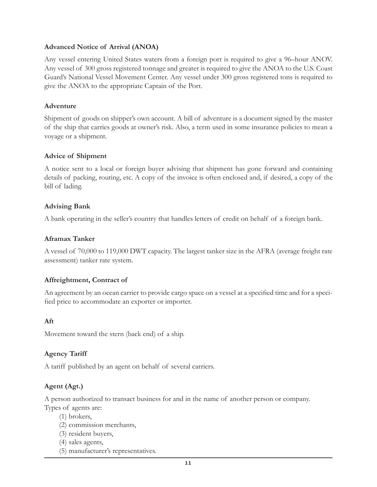#### **Advanced Notice of Arrival (ANOA)**

Any vessel entering United States waters from a foreign port is required to give a 96–hour ANOV. Any vessel of 300 gross registered tonnage and greater is required to give the ANOA to the U.S. Coast Guard's National Vessel Movement Center. Any vessel under 300 gross registered tons is required to give the ANOA to the appropriate Captain of the Port.

#### **Adventure**

Shipment of goods on shipper's own account. A bill of adventure is a document signed by the master of the ship that carries goods at owner's risk. Also, a term used in some insurance policies to mean a voyage or a shipment.

#### **Advice of Shipment**

A notice sent to a local or foreign buyer advising that shipment has gone forward and containing details of packing, routing, etc. A copy of the invoice is often enclosed and, if desired, a copy of the bill of lading.

#### **Advising Bank**

A bank operating in the seller's country that handles letters of credit on behalf of a foreign bank.

#### **Aframax Tanker**

A vessel of 70,000 to 119,000 DWT capacity. The largest tanker size in the AFRA (average freight rate assessment) tanker rate system.

#### **Affreightment, Contract of**

An agreement by an ocean carrier to provide cargo space on a vessel at a specified time and for a specified price to accommodate an exporter or importer.

#### **Aft**

Movement toward the stern (back end) of a ship.

#### **Agency Tariff**

A tariff published by an agent on behalf of several carriers.

#### **Agent (Agt.)**

A person authorized to transact business for and in the name of another person or company. Types of agents are:

- (1) brokers,
- (2) commission merchants,
- (3) resident buyers,
- (4) sales agents,
- (5) manufacturer's representatives.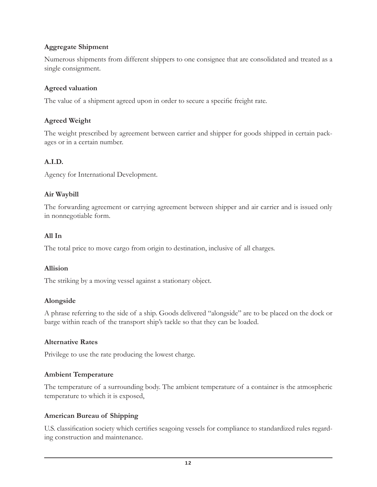## **Aggregate Shipment**

Numerous shipments from different shippers to one consignee that are consolidated and treated as a single consignment.

#### **Agreed valuation**

The value of a shipment agreed upon in order to secure a specific freight rate.

#### **Agreed Weight**

The weight prescribed by agreement between carrier and shipper for goods shipped in certain packages or in a certain number.

## **A.I.D.**

Agency for International Development.

## **Air Waybill**

The forwarding agreement or carrying agreement between shipper and air carrier and is issued only in nonnegotiable form.

#### **All In**

The total price to move cargo from origin to destination, inclusive of all charges.

#### **Allision**

The striking by a moving vessel against a stationary object.

#### **Alongside**

A phrase referring to the side of a ship. Goods delivered "alongside" are to be placed on the dock or barge within reach of the transport ship's tackle so that they can be loaded.

#### **Alternative Rates**

Privilege to use the rate producing the lowest charge.

#### **Ambient Temperature**

The temperature of a surrounding body. The ambient temperature of a container is the atmospheric temperature to which it is exposed,

## **American Bureau of Shipping**

U.S. classification society which certifies seagoing vessels for compliance to standardized rules regarding construction and maintenance.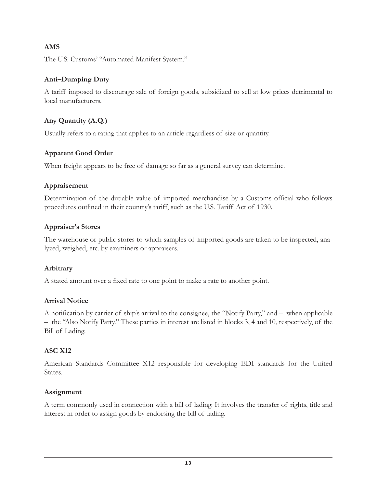## **AMS**

The U.S. Customs' "Automated Manifest System."

## **Anti–Dumping Duty**

A tariff imposed to discourage sale of foreign goods, subsidized to sell at low prices detrimental to local manufacturers.

## **Any Quantity (A.Q.)**

Usually refers to a rating that applies to an article regardless of size or quantity.

## **Apparent Good Order**

When freight appears to be free of damage so far as a general survey can determine.

## **Appraisement**

Determination of the dutiable value of imported merchandise by a Customs official who follows procedures outlined in their country's tariff, such as the U.S. Tariff Act of 1930.

## **Appraiser's Stores**

The warehouse or public stores to which samples of imported goods are taken to be inspected, analyzed, weighed, etc. by examiners or appraisers.

## **Arbitrary**

A stated amount over a fixed rate to one point to make a rate to another point.

## **Arrival Notice**

A notification by carrier of ship's arrival to the consignee, the "Notify Party," and – when applicable – the "Also Notify Party." These parties in interest are listed in blocks 3, 4 and 10, respectively, of the Bill of Lading.

## **ASC X12**

American Standards Committee X12 responsible for developing EDI standards for the United States.

## **Assignment**

A term commonly used in connection with a bill of lading. It involves the transfer of rights, title and interest in order to assign goods by endorsing the bill of lading.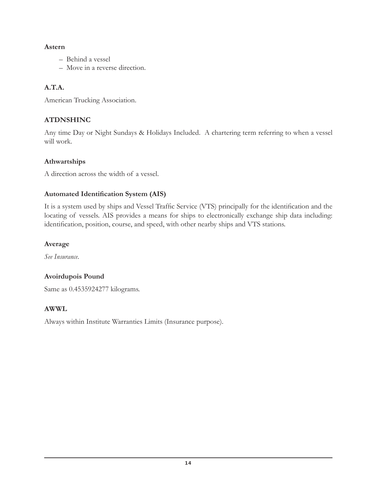## **Astern**

- Behind a vessel
- Move in a reverse direction.

## **A.T.A.**

American Trucking Association.

## **ATDNSHINC**

Any time Day or Night Sundays & Holidays Included. A chartering term referring to when a vessel will work.

## **Athwartships**

A direction across the width of a vessel.

## **Automated Identification System (AIS)**

It is a system used by ships and Vessel Traffic Service (VTS) principally for the identification and the locating of vessels. AIS provides a means for ships to electronically exchange ship data including: identification, position, course, and speed, with other nearby ships and VTS stations.

## **Average**

*See Insurance*.

## **Avoirdupois Pound**

Same as 0.4535924277 kilograms.

## **AWWL**

Always within Institute Warranties Limits (Insurance purpose).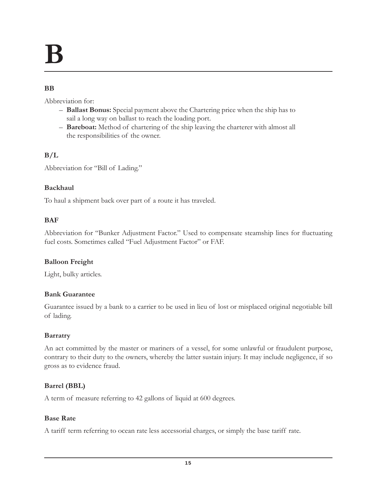# **B**

## **BB**

Abbreviation for:

- **Ballast Bonus:** Special payment above the Chartering price when the ship has to sail a long way on ballast to reach the loading port.
- **Bareboat:** Method of chartering of the ship leaving the charterer with almost all the responsibilities of the owner.

## **B/L**

Abbreviation for "Bill of Lading."

## **Backhaul**

To haul a shipment back over part of a route it has traveled.

## **BAF**

Abbreviation for "Bunker Adjustment Factor." Used to compensate steamship lines for Áuctuating fuel costs. Sometimes called "Fuel Adjustment Factor" or FAF.

#### **Balloon Freight**

Light, bulky articles.

#### **Bank Guarantee**

Guarantee issued by a bank to a carrier to be used in lieu of lost or misplaced original negotiable bill of lading.

#### **Barratry**

An act committed by the master or mariners of a vessel, for some unlawful or fraudulent purpose, contrary to their duty to the owners, whereby the latter sustain injury. It may include negligence, if so gross as to evidence fraud.

## **Barrel (BBL)**

A term of measure referring to 42 gallons of liquid at 600 degrees.

#### **Base Rate**

A tariff term referring to ocean rate less accessorial charges, or simply the base tariff rate.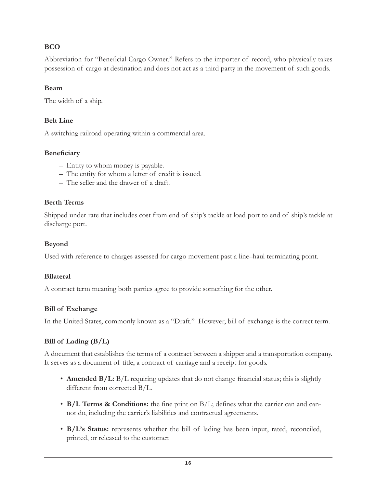## **BCO**

Abbreviation for "Beneficial Cargo Owner." Refers to the importer of record, who physically takes possession of cargo at destination and does not act as a third party in the movement of such goods.

## **Beam**

The width of a ship.

## **Belt Line**

A switching railroad operating within a commercial area.

#### **BeneÀciary**

- Entity to whom money is payable.
- The entity for whom a letter of credit is issued.
- The seller and the drawer of a draft.

## **Berth Terms**

Shipped under rate that includes cost from end of ship's tackle at load port to end of ship's tackle at discharge port.

#### **Beyond**

Used with reference to charges assessed for cargo movement past a line–haul terminating point.

#### **Bilateral**

A contract term meaning both parties agree to provide something for the other.

## **Bill of Exchange**

In the United States, commonly known as a "Draft." However, bill of exchange is the correct term.

## **Bill of Lading (B/L)**

A document that establishes the terms of a contract between a shipper and a transportation company. It serves as a document of title, a contract of carriage and a receipt for goods.

- **Amended B/L:** B/L requiring updates that do not change financial status; this is slightly different from corrected B/L.
- **B/L Terms & Conditions:** the fine print on B/L; defines what the carrier can and cannot do, including the carrier's liabilities and contractual agreements.
- B/L's Status: represents whether the bill of lading has been input, rated, reconciled, printed, or released to the customer.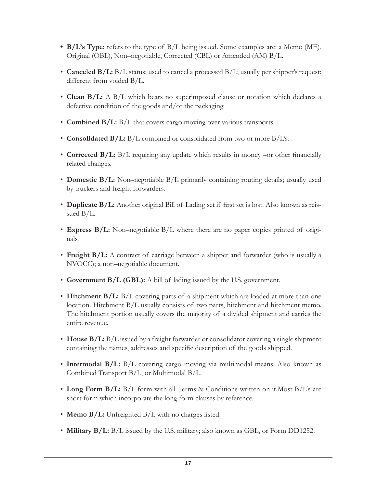- **B/L's Type:** refers to the type of B/L being issued. Some examples are: a Memo (ME), Original (OBL), Non–negotiable, Corrected (CBL) or Amended (AM) B/L.
- Canceled  $B/L$ :  $B/L$  status; used to cancel a processed  $B/L$ ; usually per shipper's request; different from voided B/L.
- **Clean B/L:** A B/L which bears no superimposed clause or notation which declares a defective condition of the goods and/or the packaging.
- Combined B/L: B/L that covers cargo moving over various transports.
- Consolidated  $B/L$ :  $B/L$  combined or consolidated from two or more  $B/L$ 's.
- Corrected B/L:  $B/L$  requiring any update which results in money –or other financially related changes.
- Domestic B/L: Non–negotiable B/L primarily containing routing details; usually used by truckers and freight forwarders.
- **Duplicate B/L:** Another original Bill of Lading set if first set is lost. Also known as reissued  $B/L$ .
- Express B/L: Non–negotiable B/L where there are no paper copies printed of originals.
- Freight B/L: A contract of carriage between a shipper and forwarder (who is usually a NVOCC); a non–negotiable document.
- Government B/L (GBL): A bill of lading issued by the U.S. government.
- Hitchment B/L: B/L covering parts of a shipment which are loaded at more than one location. Hitchment B/L usually consists of two parts, hitchment and hitchment memo. The hitchment portion usually covers the majority of a divided shipment and carries the entire revenue.
- **House B/L:**  $B/L$  issued by a freight forwarder or consolidator covering a single shipment containing the names, addresses and specific description of the goods shipped.
- **Intermodal B/L:** B/L covering cargo moving via multimodal means. Also known as Combined Transport B/L, or Multimodal B/L.
- Long Form B/L: B/L form with all Terms & Conditions written on it. Most B/L's are short form which incorporate the long form clauses by reference.
- Memo B/L: Unfreighted B/L with no charges listed.
- Military B/L: B/L issued by the U.S. military; also known as GBL, or Form DD1252.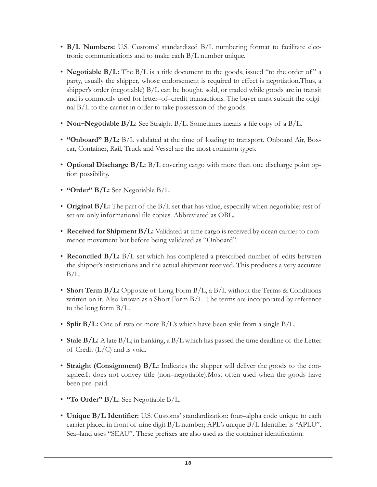- B/L Numbers: U.S. Customs' standardized B/L numbering format to facilitate electronic communications and to make each B/L number unique.
- **Negotiable B/L:** The B/L is a title document to the goods, issued "to the order of" a party, usually the shipper, whose endorsement is required to effect is negotiation.Thus, a shipper's order (negotiable) B/L can be bought, sold, or traded while goods are in transit and is commonly used for letter–of–credit transactions. The buyer must submit the original B/L to the carrier in order to take possession of the goods.
- **Non–Negotiable B/L:** See Straight B/L. Sometimes means a file copy of a B/L.
- **"Onboard" B/L:** B/L validated at the time of loading to transport. Onboard Air, Boxcar, Container, Rail, Truck and Vessel are the most common types.
- **Optional Discharge B/L:** B/L covering cargo with more than one discharge point option possibility.
- **"Order" B/L:** See Negotiable B/L.
- Original B/L: The part of the B/L set that has value, especially when negotiable; rest of set are only informational file copies. Abbreviated as OBL.
- Received for Shipment B/L: Validated at time cargo is received by ocean carrier to commence movement but before being validated as "Onboard".
- **Reconciled B/L:** B/L set which has completed a prescribed number of edits between the shipper's instructions and the actual shipment received. This produces a very accurate  $B/L$ .
- **Short Term B/L:** Opposite of Long Form  $B/L$ , a  $B/L$  without the Terms & Conditions written on it. Also known as a Short Form B/L. The terms are incorporated by reference to the long form B/L.
- Split  $B/L$ : One of two or more  $B/L$ 's which have been split from a single  $B/L$ .
- Stale  $B/L$ : A late  $B/L$ ; in banking, a  $B/L$  which has passed the time deadline of the Letter of Credit (L/C) and is void.
- **Straight (Consignment) B/L:** Indicates the shipper will deliver the goods to the consignee.It does not convey title (non–negotiable).Most often used when the goods have been pre–paid.
- "To Order" B/L: See Negotiable B/L.
- Unique B/L Identifier: U.S. Customs' standardization: four-alpha code unique to each carrier placed in front of nine digit  $B/L$  number; APL's unique  $B/L$  Identifier is "APLU". Sea–land uses "SEAU". These prefixes are also used as the container identification.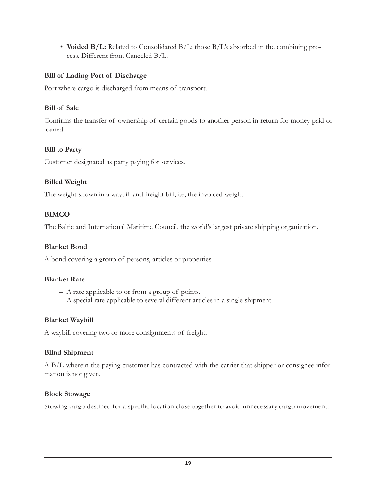• Voided B/L: Related to Consolidated B/L; those B/L's absorbed in the combining process. Different from Canceled B/L.

## **Bill of Lading Port of Discharge**

Port where cargo is discharged from means of transport.

#### **Bill of Sale**

Confirms the transfer of ownership of certain goods to another person in return for money paid or loaned.

## **Bill to Party**

Customer designated as party paying for services.

#### **Billed Weight**

The weight shown in a waybill and freight bill, i.e, the invoiced weight.

## **BIMCO**

The Baltic and International Maritime Council, the world's largest private shipping organization.

## **Blanket Bond**

A bond covering a group of persons, articles or properties.

#### **Blanket Rate**

- A rate applicable to or from a group of points.
- A special rate applicable to several different articles in a single shipment.

#### **Blanket Waybill**

A waybill covering two or more consignments of freight.

#### **Blind Shipment**

A B/L wherein the paying customer has contracted with the carrier that shipper or consignee information is not given.

#### **Block Stowage**

Stowing cargo destined for a specific location close together to avoid unnecessary cargo movement.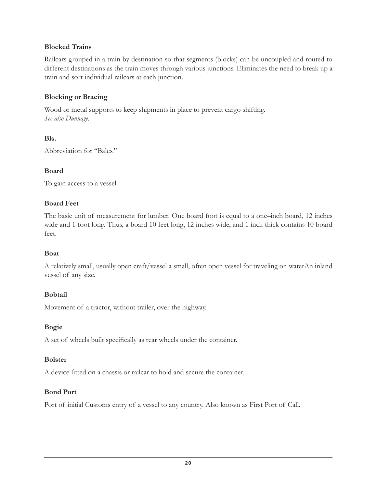## **Blocked Trains**

Railcars grouped in a train by destination so that segments (blocks) can be uncoupled and routed to different destinations as the train moves through various junctions. Eliminates the need to break up a train and sort individual railcars at each junction.

#### **Blocking or Bracing**

Wood or metal supports to keep shipments in place to prevent cargo shifting. *See also Dunnage.*

## **Bls.**

Abbreviation for "Bales."

## **Board**

To gain access to a vessel.

## **Board Feet**

The basic unit of measurement for lumber. One board foot is equal to a one–inch board, 12 inches wide and 1 foot long. Thus, a board 10 feet long, 12 inches wide, and 1 inch thick contains 10 board feet.

#### **Boat**

A relatively small, usually open craft/vessel a small, often open vessel for traveling on waterAn inland vessel of any size.

## **Bobtail**

Movement of a tractor, without trailer, over the highway.

## **Bogie**

A set of wheels built specifically as rear wheels under the container.

## **Bolster**

A device Àtted on a chassis or railcar to hold and secure the container.

## **Bond Port**

Port of initial Customs entry of a vessel to any country. Also known as First Port of Call.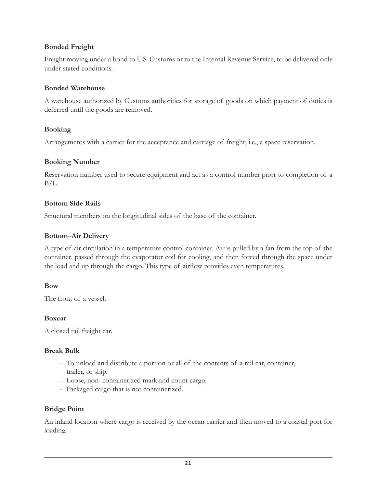## **Bonded Freight**

Freight moving under a bond to U.S. Customs or to the Internal Revenue Service, to be delivered only under stated conditions.

#### **Bonded Warehouse**

A warehouse authorized by Customs authorities for storage of goods on which payment of duties is deferred until the goods are removed.

#### **Booking**

Arrangements with a carrier for the acceptance and carriage of freight; i.e., a space reservation.

#### **Booking Number**

Reservation number used to secure equipment and act as a control number prior to completion of a  $B/L$ .

#### **Bottom Side Rails**

Structural members on the longitudinal sides of the base of the container.

#### **Bottom–Air Delivery**

A type of air circulation in a temperature control container. Air is pulled by a fan from the top of the container, passed through the evaporator coil for cooling, and then forced through the space under the load and up through the cargo. This type of airflow provides even temperatures.

#### **Bow**

The front of a vessel.

#### **Boxcar**

A closed rail freight car.

#### **Break Bulk**

- To unload and distribute a portion or all of the contents of a rail car, container, trailer, or ship.
- Loose, non–containerized mark and count cargo.
- Packaged cargo that is not containerized.

#### **Bridge Point**

An inland location where cargo is received by the ocean carrier and then moved to a coastal port for loading.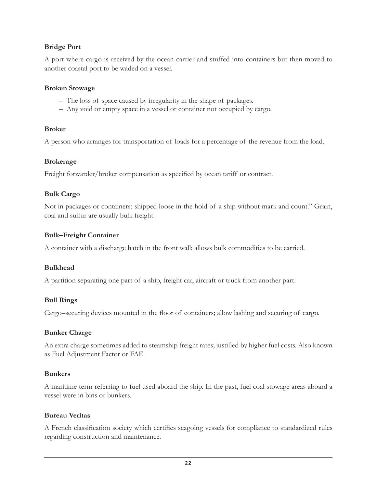## **Bridge Port**

A port where cargo is received by the ocean carrier and stuffed into containers but then moved to another coastal port to be waded on a vessel.

#### **Broken Stowage**

- The loss of space caused by irregularity in the shape of packages.
- Any void or empty space in a vessel or container not occupied by cargo.

#### **Broker**

A person who arranges for transportation of loads for a percentage of the revenue from the load.

#### **Brokerage**

Freight forwarder/broker compensation as specified by ocean tariff or contract.

#### **Bulk Cargo**

Not in packages or containers; shipped loose in the hold of a ship without mark and count." Grain, coal and sulfur are usually bulk freight.

#### **Bulk–Freight Container**

A container with a discharge hatch in the front wall; allows bulk commodities to be carried.

#### **Bulkhead**

A partition separating one part of a ship, freight car, aircraft or truck from another part.

#### **Bull Rings**

Cargo–securing devices mounted in the Áoor of containers; allow lashing and securing of cargo.

#### **Bunker Charge**

An extra charge sometimes added to steamship freight rates; justified by higher fuel costs. Also known as Fuel Adjustment Factor or FAF.

#### **Bunkers**

A maritime term referring to fuel used aboard the ship. In the past, fuel coal stowage areas aboard a vessel were in bins or bunkers.

#### **Bureau Veritas**

A French classification society which certifies seagoing vessels for compliance to standardized rules regarding construction and maintenance.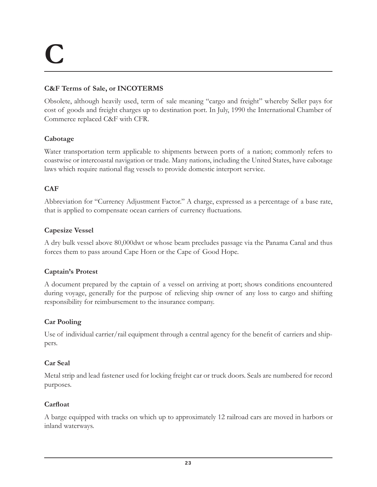## **C&F Terms of Sale, or INCOTERMS**

Obsolete, although heavily used, term of sale meaning "cargo and freight" whereby Seller pays for cost of goods and freight charges up to destination port. In July, 1990 the International Chamber of Commerce replaced C&F with CFR.

## **Cabotage**

Water transportation term applicable to shipments between ports of a nation; commonly refers to coastwise or intercoastal navigation or trade. Many nations, including the United States, have cabotage laws which require national Áag vessels to provide domestic interport service.

## **CAF**

Abbreviation for "Currency Adjustment Factor." A charge, expressed as a percentage of a base rate, that is applied to compensate ocean carriers of currency fluctuations.

## **Capesize Vessel**

A dry bulk vessel above 80,000dwt or whose beam precludes passage via the Panama Canal and thus forces them to pass around Cape Horn or the Cape of Good Hope.

#### **Captain's Protest**

A document prepared by the captain of a vessel on arriving at port; shows conditions encountered during voyage, generally for the purpose of relieving ship owner of any loss to cargo and shifting responsibility for reimbursement to the insurance company.

## **Car Pooling**

Use of individual carrier/rail equipment through a central agency for the benefit of carriers and shippers.

#### **Car Seal**

Metal strip and lead fastener used for locking freight car or truck doors. Seals are numbered for record purposes.

#### **CarÁoat**

A barge equipped with tracks on which up to approximately 12 railroad cars are moved in harbors or inland waterways.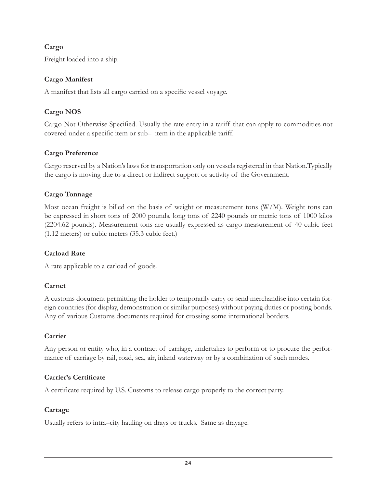## **Cargo**

Freight loaded into a ship.

## **Cargo Manifest**

A manifest that lists all cargo carried on a specific vessel voyage.

## **Cargo NOS**

Cargo Not Otherwise Specified. Usually the rate entry in a tariff that can apply to commodities not covered under a specific item or sub- item in the applicable tariff.

## **Cargo Preference**

Cargo reserved by a Nation's laws for transportation only on vessels registered in that Nation.Typically the cargo is moving due to a direct or indirect support or activity of the Government.

## **Cargo Tonnage**

Most ocean freight is billed on the basis of weight or measurement tons (W/M). Weight tons can be expressed in short tons of 2000 pounds, long tons of 2240 pounds or metric tons of 1000 kilos (2204.62 pounds). Measurement tons are usually expressed as cargo measurement of 40 cubic feet (1.12 meters) or cubic meters (35.3 cubic feet.)

#### **Carload Rate**

A rate applicable to a carload of goods.

## **Carnet**

A customs document permitting the holder to temporarily carry or send merchandise into certain foreign countries (for display, demonstration or similar purposes) without paying duties or posting bonds. Any of various Customs documents required for crossing some international borders.

#### **Carrier**

Any person or entity who, in a contract of carriage, undertakes to perform or to procure the performance of carriage by rail, road, sea, air, inland waterway or by a combination of such modes.

## **Carrier's CertiÀcate**

A certificate required by U.S. Customs to release cargo properly to the correct party.

## **Cartage**

Usually refers to intra–city hauling on drays or trucks. Same as drayage.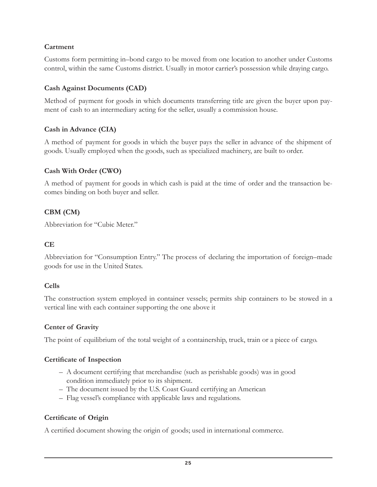## **Cartment**

Customs form permitting in–bond cargo to be moved from one location to another under Customs control, within the same Customs district. Usually in motor carrier's possession while draying cargo.

## **Cash Against Documents (CAD)**

Method of payment for goods in which documents transferring title are given the buyer upon payment of cash to an intermediary acting for the seller, usually a commission house.

## **Cash in Advance (CIA)**

A method of payment for goods in which the buyer pays the seller in advance of the shipment of goods. Usually employed when the goods, such as specialized machinery, are built to order.

## **Cash With Order (CWO)**

A method of payment for goods in which cash is paid at the time of order and the transaction becomes binding on both buyer and seller.

## **CBM (CM)**

Abbreviation for "Cubic Meter."

#### **CE**

Abbreviation for "Consumption Entry." The process of declaring the importation of foreign–made goods for use in the United States.

#### **Cells**

The construction system employed in container vessels; permits ship containers to be stowed in a vertical line with each container supporting the one above it

#### **Center of Gravity**

The point of equilibrium of the total weight of a containership, truck, train or a piece of cargo.

#### **Certificate of Inspection**

- A document certifying that merchandise (such as perishable goods) was in good condition immediately prior to its shipment.
- The document issued by the U.S. Coast Guard certifying an American
- Flag vessel's compliance with applicable laws and regulations.

## **CertiÀcate of Origin**

A certified document showing the origin of goods; used in international commerce.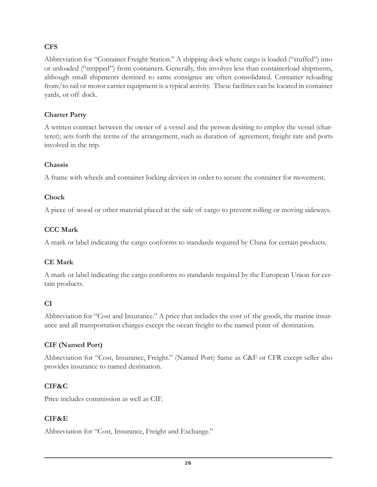## **CFS**

Abbreviation for "Container Freight Station." A shipping dock where cargo is loaded ("stuffed") into or unloaded ("stripped") from containers. Generally, this involves less than containerload shipments, although small shipments destined to same consignee are often consolidated. Container reloading from/to rail or motor carrier equipment is a typical activity. These facilities can be located in container yards, or off dock.

## **Charter Party**

A written contract between the owner of a vessel and the person desiring to employ the vessel (charterer); sets forth the terms of the arrangement, such as duration of agreement, freight rate and ports involved in the trip.

## **Chassis**

A frame with wheels and container locking devices in order to secure the container for movement.

## **Chock**

A piece of wood or other material placed at the side of cargo to prevent rolling or moving sideways.

## **CCC Mark**

A mark or label indicating the cargo conforms to standards required by China for certain products.

## **CE Mark**

A mark or label indicating the cargo conforms to standards required by the European Union for certain products.

## **CI**

Abbreviation for "Cost and Insurance." A price that includes the cost of the goods, the marine insurance and all transportation charges except the ocean freight to the named point of destination.

## **CIF (Named Port)**

Abbreviation for "Cost, Insurance, Freight." (Named Port) Same as C&F or CFR except seller also provides insurance to named destination.

## **CIF&C**

Price includes commission as well as CIF.

## **CIF&E**

Abbreviation for "Cost, Insurance, Freight and Exchange."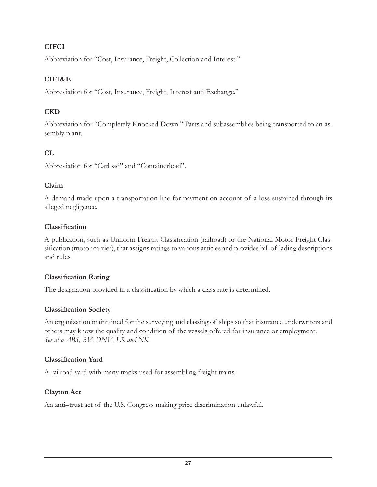## **CIFCI**

Abbreviation for "Cost, Insurance, Freight, Collection and Interest."

## **CIFI&E**

Abbreviation for "Cost, Insurance, Freight, Interest and Exchange."

## **CKD**

Abbreviation for "Completely Knocked Down." Parts and subassemblies being transported to an assembly plant.

## **CL**

Abbreviation for "Carload" and "Containerload".

## **Claim**

A demand made upon a transportation line for payment on account of a loss sustained through its alleged negligence.

## **ClassiÀcation**

A publication, such as Uniform Freight Classification (railroad) or the National Motor Freight Classification (motor carrier), that assigns ratings to various articles and provides bill of lading descriptions and rules.

## **ClassiÀcation Rating**

The designation provided in a classification by which a class rate is determined.

## **ClassiÀcation Society**

An organization maintained for the surveying and classing of ships so that insurance underwriters and others may know the quality and condition of the vessels offered for insurance or employment. *See also ABS, BV, DNV, LR and NK.*

## **ClassiÀcation Yard**

A railroad yard with many tracks used for assembling freight trains.

## **Clayton Act**

An anti–trust act of the U.S. Congress making price discrimination unlawful.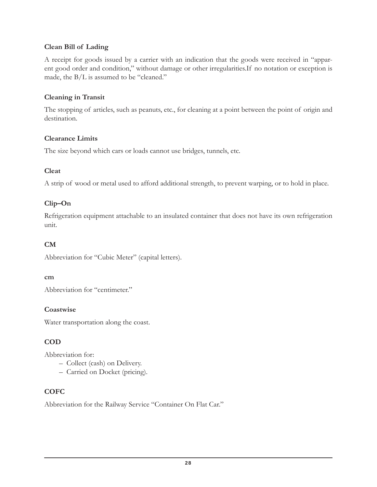## **Clean Bill of Lading**

A receipt for goods issued by a carrier with an indication that the goods were received in "apparent good order and condition," without damage or other irregularities.If no notation or exception is made, the B/L is assumed to be "cleaned."

#### **Cleaning in Transit**

The stopping of articles, such as peanuts, etc., for cleaning at a point between the point of origin and destination.

## **Clearance Limits**

The size beyond which cars or loads cannot use bridges, tunnels, etc.

## **Cleat**

A strip of wood or metal used to afford additional strength, to prevent warping, or to hold in place.

## **Clip–On**

Refrigeration equipment attachable to an insulated container that does not have its own refrigeration unit.

## **CM**

Abbreviation for "Cubic Meter" (capital letters).

#### **cm**

Abbreviation for "centimeter."

## **Coastwise**

Water transportation along the coast.

## **COD**

Abbreviation for:

- Collect (cash) on Delivery.
- Carried on Docket (pricing).

## **COFC**

Abbreviation for the Railway Service "Container On Flat Car."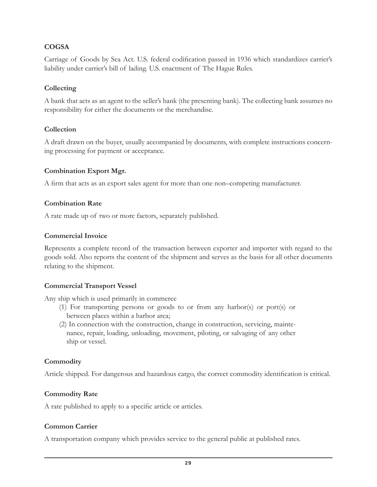## **COGSA**

Carriage of Goods by Sea Act. U.S. federal codification passed in 1936 which standardizes carrier's liability under carrier's bill of lading. U.S. enactment of The Hague Rules.

#### **Collecting**

A bank that acts as an agent to the seller's bank (the presenting bank). The collecting bank assumes no responsibility for either the documents or the merchandise.

#### **Collection**

A draft drawn on the buyer, usually accompanied by documents, with complete instructions concerning processing for payment or acceptance.

#### **Combination Export Mgr.**

A Àrm that acts as an export sales agent for more than one non–competing manufacturer.

#### **Combination Rate**

A rate made up of two or more factors, separately published.

#### **Commercial Invoice**

Represents a complete record of the transaction between exporter and importer with regard to the goods sold. Also reports the content of the shipment and serves as the basis for all other documents relating to the shipment.

## **Commercial Transport Vessel**

Any ship which is used primarily in commerce

- (1) For transporting persons or goods to or from any harbor(s) or port(s) or between places within a harbor area;
- (2) In connection with the construction, change in construction, servicing, maintenance, repair, loading, unloading, movement, piloting, or salvaging of any other ship or vessel.

#### **Commodity**

Article shipped. For dangerous and hazardous cargo, the correct commodity identification is critical.

## **Commodity Rate**

A rate published to apply to a specific article or articles.

## **Common Carrier**

A transportation company which provides service to the general public at published rates.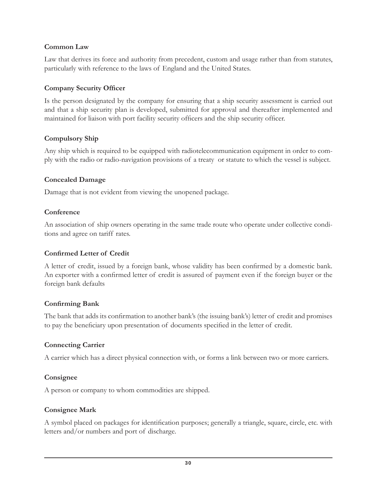#### **Common Law**

Law that derives its force and authority from precedent, custom and usage rather than from statutes, particularly with reference to the laws of England and the United States.

#### **Company Security Officer**

Is the person designated by the company for ensuring that a ship security assessment is carried out and that a ship security plan is developed, submitted for approval and thereafter implemented and maintained for liaison with port facility security officers and the ship security officer.

## **Compulsory Ship**

Any ship which is required to be equipped with radiotelecommunication equipment in order to comply with the radio or radio-navigation provisions of a treaty or statute to which the vessel is subject.

## **Concealed Damage**

Damage that is not evident from viewing the unopened package.

#### **Conference**

An association of ship owners operating in the same trade route who operate under collective conditions and agree on tariff rates.

#### **Confirmed Letter of Credit**

A letter of credit, issued by a foreign bank, whose validity has been confirmed by a domestic bank. An exporter with a confirmed letter of credit is assured of payment even if the foreign buyer or the foreign bank defaults

#### **ConÀrming Bank**

The bank that adds its confirmation to another bank's (the issuing bank's) letter of credit and promises to pay the beneficiary upon presentation of documents specified in the letter of credit.

## **Connecting Carrier**

A carrier which has a direct physical connection with, or forms a link between two or more carriers.

#### **Consignee**

A person or company to whom commodities are shipped.

#### **Consignee Mark**

A symbol placed on packages for identification purposes; generally a triangle, square, circle, etc. with letters and/or numbers and port of discharge.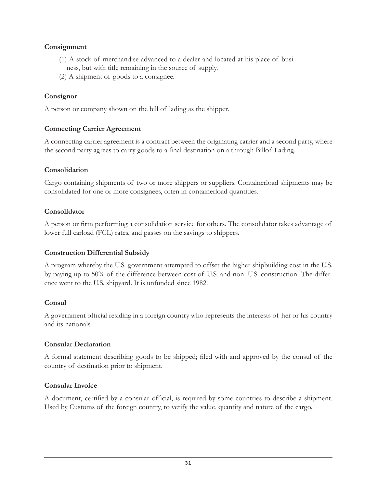## **Consignment**

- (1) A stock of merchandise advanced to a dealer and located at his place of business, but with title remaining in the source of supply.
- (2) A shipment of goods to a consignee.

## **Consignor**

A person or company shown on the bill of lading as the shipper.

## **Connecting Carrier Agreement**

A connecting carrier agreement is a contract between the originating carrier and a second party, where the second party agrees to carry goods to a final destination on a through Billof Lading.

#### **Consolidation**

Cargo containing shipments of two or more shippers or suppliers. Containerload shipments may be consolidated for one or more consignees, often in containerload quantities.

#### **Consolidator**

A person or firm performing a consolidation service for others. The consolidator takes advantage of lower full carload (FCL) rates, and passes on the savings to shippers.

#### **Construction Differential Subsidy**

A program whereby the U.S. government attempted to offset the higher shipbuilding cost in the U.S. by paying up to 50% of the difference between cost of U.S. and non–U.S. construction. The difference went to the U.S. shipyard. It is unfunded since 1982.

#### **Consul**

A government official residing in a foreign country who represents the interests of her or his country and its nationals.

#### **Consular Declaration**

A formal statement describing goods to be shipped; filed with and approved by the consul of the country of destination prior to shipment.

#### **Consular Invoice**

A document, certified by a consular official, is required by some countries to describe a shipment. Used by Customs of the foreign country, to verify the value, quantity and nature of the cargo.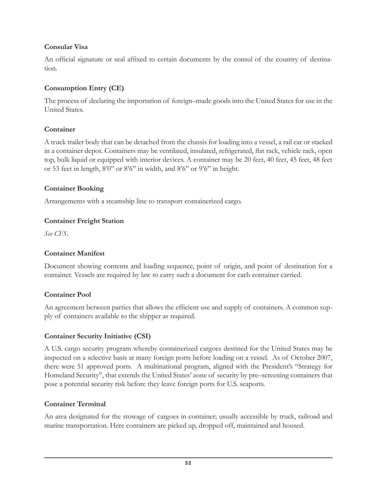## **Consular Visa**

An official signature or seal affixed to certain documents by the consul of the country of destination.

## **Consumption Entry (CE)**

The process of declaring the importation of foreign–made goods into the United States for use in the United States.

## **Container**

A truck trailer body that can be detached from the chassis for loading into a vessel, a rail car or stacked in a container depot. Containers may be ventilated, insulated, refrigerated, flat rack, vehicle rack, open top, bulk liquid or equipped with interior devices. A container may be 20 feet, 40 feet, 45 feet, 48 feet or 53 feet in length, 8'0" or 8'6" in width, and 8'6" or 9'6" in height.

## **Container Booking**

Arrangements with a steamship line to transport containerized cargo.

## **Container Freight Station**

*See CFS.*

## **Container Manifest**

Document showing contents and loading sequence, point of origin, and point of destination for a container. Vessels are required by law to carry such a document for each container carried.

## **Container Pool**

An agreement between parties that allows the efficient use and supply of containers. A common supply of containers available to the shipper as required.

## **Container Security Initiative (CSI)**

A U.S. cargo security program whereby containerized cargoes destined for the United States may be inspected on a selective basis at many foreign ports before loading on a vessel. As of October 2007, there were 51 approved ports. A multinational program, aligned with the President's "Strategy for Homeland Security", that extends the United States' zone of security by pre–screening containers that pose a potential security risk before they leave foreign ports for U.S. seaports.

## **Container Terminal**

An area designated for the stowage of cargoes in container; usually accessible by truck, railroad and marine transportation. Here containers are picked up, dropped off, maintained and housed.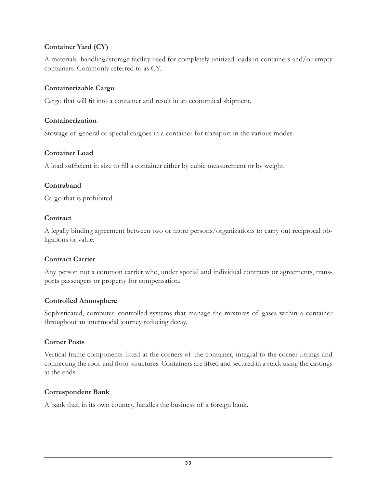## **Container Yard (CY)**

A materials–handling/storage facility used for completely unitized loads in containers and/or empty containers. Commonly referred to as CY.

#### **Containerizable Cargo**

Cargo that will fit into a container and result in an economical shipment.

#### **Containerization**

Stowage of general or special cargoes in a container for transport in the various modes.

#### **Container Load**

A load sufficient in size to fill a container either by cubic measurement or by weight.

#### **Contraband**

Cargo that is prohibited.

#### **Contract**

A legally binding agreement between two or more persons/organizations to carry out reciprocal obligations or value.

#### **Contract Carrier**

Any person not a common carrier who, under special and individual contracts or agreements, transports passengers or property for compensation.

#### **Controlled Atmosphere**

Sophisticated, computer–controlled systems that manage the mixtures of gases within a container throughout an intermodal journey reducing decay.

#### **Corner Posts**

Vertical frame components fitted at the corners of the container, integral to the corner fittings and connecting the roof and Áoor structures. Containers are lifted and secured in a stack using the castings at the ends.

#### **Correspondent Bank**

A bank that, in its own country, handles the business of a foreign bank.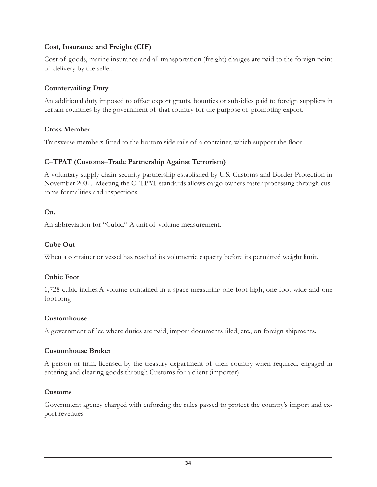## **Cost, Insurance and Freight (CIF)**

Cost of goods, marine insurance and all transportation (freight) charges are paid to the foreign point of delivery by the seller.

## **Countervailing Duty**

An additional duty imposed to offset export grants, bounties or subsidies paid to foreign suppliers in certain countries by the government of that country for the purpose of promoting export.

## **Cross Member**

Transverse members fitted to the bottom side rails of a container, which support the floor.

## **C–TPAT (Customs–Trade Partnership Against Terrorism)**

A voluntary supply chain security partnership established by U.S. Customs and Border Protection in November 2001. Meeting the C–TPAT standards allows cargo owners faster processing through customs formalities and inspections.

## **Cu.**

An abbreviation for "Cubic." A unit of volume measurement.

## **Cube Out**

When a container or vessel has reached its volumetric capacity before its permitted weight limit.

## **Cubic Foot**

1,728 cubic inches.A volume contained in a space measuring one foot high, one foot wide and one foot long

#### **Customhouse**

A government office where duties are paid, import documents filed, etc., on foreign shipments.

#### **Customhouse Broker**

A person or firm, licensed by the treasury department of their country when required, engaged in entering and clearing goods through Customs for a client (importer).

## **Customs**

Government agency charged with enforcing the rules passed to protect the country's import and export revenues.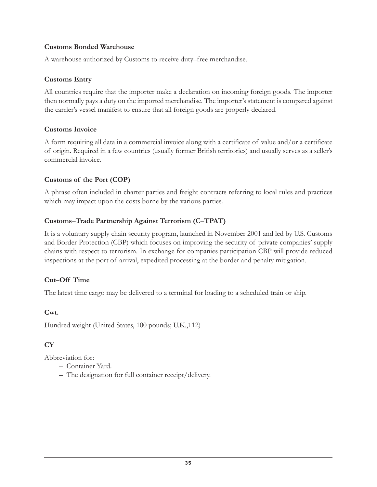## **Customs Bonded Warehouse**

A warehouse authorized by Customs to receive duty–free merchandise.

## **Customs Entry**

All countries require that the importer make a declaration on incoming foreign goods. The importer then normally pays a duty on the imported merchandise. The importer's statement is compared against the carrier's vessel manifest to ensure that all foreign goods are properly declared.

#### **Customs Invoice**

A form requiring all data in a commercial invoice along with a certificate of value and/or a certificate of origin. Required in a few countries (usually former British territories) and usually serves as a seller's commercial invoice.

## **Customs of the Port (COP)**

A phrase often included in charter parties and freight contracts referring to local rules and practices which may impact upon the costs borne by the various parties.

## **Customs–Trade Partnership Against Terrorism (C–TPAT)**

It is a voluntary supply chain security program, launched in November 2001 and led by U.S. Customs and Border Protection (CBP) which focuses on improving the security of private companies' supply chains with respect to terrorism. In exchange for companies participation CBP will provide reduced inspections at the port of arrival, expedited processing at the border and penalty mitigation.

## **Cut–Off Time**

The latest time cargo may be delivered to a terminal for loading to a scheduled train or ship.

## **Cwt.**

Hundred weight (United States, 100 pounds; U.K.,112)

## **CY**

Abbreviation for:

- Container Yard.
- The designation for full container receipt/delivery.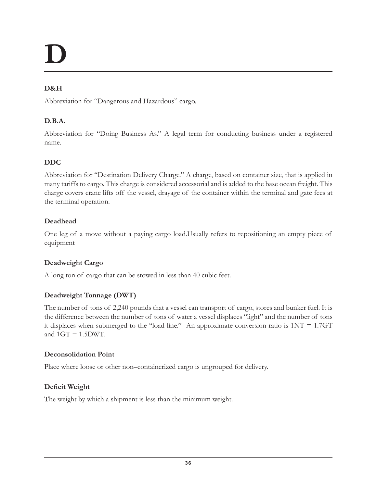# **D**

## **D&H**

Abbreviation for "Dangerous and Hazardous" cargo.

## **D.B.A.**

Abbreviation for "Doing Business As." A legal term for conducting business under a registered name.

## **DDC**

Abbreviation for "Destination Delivery Charge." A charge, based on container size, that is applied in many tariffs to cargo. This charge is considered accessorial and is added to the base ocean freight. This charge covers crane lifts off the vessel, drayage of the container within the terminal and gate fees at the terminal operation.

## **Deadhead**

One leg of a move without a paying cargo load.Usually refers to repositioning an empty piece of equipment

## **Deadweight Cargo**

A long ton of cargo that can be stowed in less than 40 cubic feet.

## **Deadweight Tonnage (DWT)**

The number of tons of 2,240 pounds that a vessel can transport of cargo, stores and bunker fuel. It is the difference between the number of tons of water a vessel displaces "light" and the number of tons it displaces when submerged to the "load line." An approximate conversion ratio is 1NT = 1.7GT and  $1GT = 1.5DWT$ .

## **Deconsolidation Point**

Place where loose or other non–containerized cargo is ungrouped for delivery.

## Deficit Weight

The weight by which a shipment is less than the minimum weight.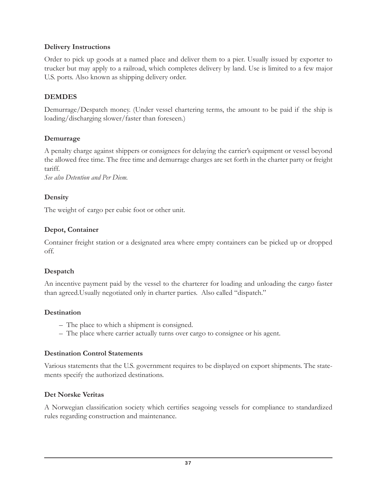## **Delivery Instructions**

Order to pick up goods at a named place and deliver them to a pier. Usually issued by exporter to trucker but may apply to a railroad, which completes delivery by land. Use is limited to a few major U.S. ports. Also known as shipping delivery order.

## **DEMDES**

Demurrage/Despatch money. (Under vessel chartering terms, the amount to be paid if the ship is loading/discharging slower/faster than foreseen.)

## **Demurrage**

A penalty charge against shippers or consignees for delaying the carrier's equipment or vessel beyond the allowed free time. The free time and demurrage charges are set forth in the charter party or freight tariff.

*See also Detention and Per Diem.*

#### **Density**

The weight of cargo per cubic foot or other unit.

#### **Depot, Container**

Container freight station or a designated area where empty containers can be picked up or dropped off.

#### **Despatch**

An incentive payment paid by the vessel to the charterer for loading and unloading the cargo faster than agreed.Usually negotiated only in charter parties. Also called "dispatch."

#### **Destination**

- The place to which a shipment is consigned.
- The place where carrier actually turns over cargo to consignee or his agent.

#### **Destination Control Statements**

Various statements that the U.S. government requires to be displayed on export shipments. The statements specify the authorized destinations.

#### **Det Norske Veritas**

A Norwegian classification society which certifies seagoing vessels for compliance to standardized rules regarding construction and maintenance.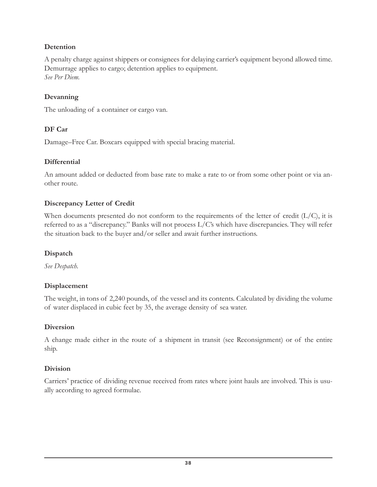## **Detention**

A penalty charge against shippers or consignees for delaying carrier's equipment beyond allowed time. Demurrage applies to cargo; detention applies to equipment. *See Per Diem.*

## **Devanning**

The unloading of a container or cargo van.

## **DF Car**

Damage–Free Car. Boxcars equipped with special bracing material.

## **Differential**

An amount added or deducted from base rate to make a rate to or from some other point or via another route.

## **Discrepancy Letter of Credit**

When documents presented do not conform to the requirements of the letter of credit (L/C), it is referred to as a "discrepancy." Banks will not process L/C's which have discrepancies. They will refer the situation back to the buyer and/or seller and await further instructions.

## **Dispatch**

*See Despatch.*

## **Displacement**

The weight, in tons of 2,240 pounds, of the vessel and its contents. Calculated by dividing the volume of water displaced in cubic feet by 35, the average density of sea water.

#### **Diversion**

A change made either in the route of a shipment in transit (see Reconsignment) or of the entire ship.

#### **Division**

Carriers' practice of dividing revenue received from rates where joint hauls are involved. This is usually according to agreed formulae.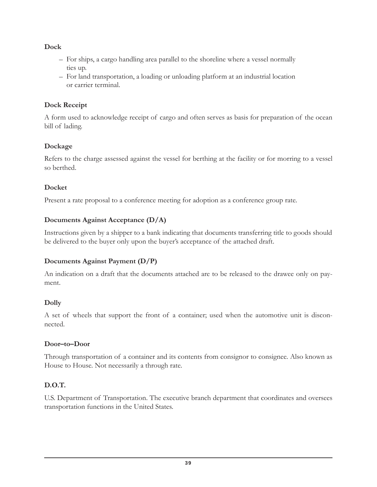## **Dock**

- For ships, a cargo handling area parallel to the shoreline where a vessel normally ties up.
- For land transportation, a loading or unloading platform at an industrial location or carrier terminal.

## **Dock Receipt**

A form used to acknowledge receipt of cargo and often serves as basis for preparation of the ocean bill of lading.

## **Dockage**

Refers to the charge assessed against the vessel for berthing at the facility or for morring to a vessel so berthed.

## **Docket**

Present a rate proposal to a conference meeting for adoption as a conference group rate.

## **Documents Against Acceptance (D/A)**

Instructions given by a shipper to a bank indicating that documents transferring title to goods should be delivered to the buyer only upon the buyer's acceptance of the attached draft.

## **Documents Against Payment (D/P)**

An indication on a draft that the documents attached are to be released to the drawee only on payment.

## **Dolly**

A set of wheels that support the front of a container; used when the automotive unit is disconnected.

## **Door–to–Door**

Through transportation of a container and its contents from consignor to consignee. Also known as House to House. Not necessarily a through rate.

## **D.O.T.**

U.S. Department of Transportation. The executive branch department that coordinates and oversees transportation functions in the United States.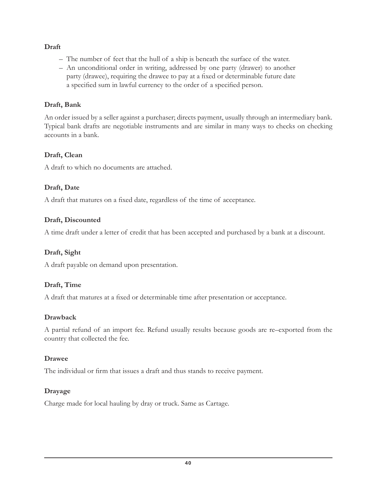## **Draft**

- The number of feet that the hull of a ship is beneath the surface of the water.
- An unconditional order in writing, addressed by one party (drawer) to another party (drawee), requiring the drawee to pay at a fixed or determinable future date a specified sum in lawful currency to the order of a specified person.

## **Draft, Bank**

An order issued by a seller against a purchaser; directs payment, usually through an intermediary bank. Typical bank drafts are negotiable instruments and are similar in many ways to checks on checking accounts in a bank.

## **Draft, Clean**

A draft to which no documents are attached.

## **Draft, Date**

A draft that matures on a fixed date, regardless of the time of acceptance.

## **Draft, Discounted**

A time draft under a letter of credit that has been accepted and purchased by a bank at a discount.

## **Draft, Sight**

A draft payable on demand upon presentation.

## **Draft, Time**

A draft that matures at a fixed or determinable time after presentation or acceptance.

## **Drawback**

A partial refund of an import fee. Refund usually results because goods are re–exported from the country that collected the fee.

## **Drawee**

The individual or firm that issues a draft and thus stands to receive payment.

## **Drayage**

Charge made for local hauling by dray or truck. Same as Cartage.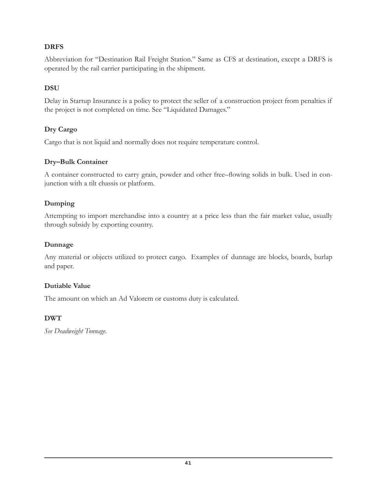## **DRFS**

Abbreviation for "Destination Rail Freight Station." Same as CFS at destination, except a DRFS is operated by the rail carrier participating in the shipment.

## **DSU**

Delay in Startup Insurance is a policy to protect the seller of a construction project from penalties if the project is not completed on time. See "Liquidated Damages."

## **Dry Cargo**

Cargo that is not liquid and normally does not require temperature control.

## **Dry–Bulk Container**

A container constructed to carry grain, powder and other free–Áowing solids in bulk. Used in conjunction with a tilt chassis or platform.

## **Dumping**

Attempting to import merchandise into a country at a price less than the fair market value, usually through subsidy by exporting country.

## **Dunnage**

Any material or objects utilized to protect cargo. Examples of dunnage are blocks, boards, burlap and paper.

## **Dutiable Value**

The amount on which an Ad Valorem or customs duty is calculated.

## **DWT**

*See Deadweight Tonnage.*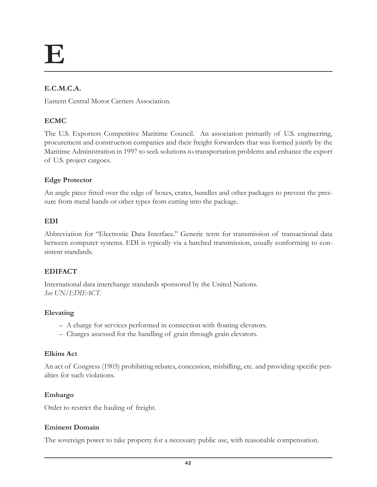# **E**

## **E.C.M.C.A.**

Eastern Central Motor Carriers Association.

## **ECMC**

The U.S. Exporters Competitive Maritime Council. An association primarily of U.S. engineering, procurement and construction companies and their freight forwarders that was formed jointly by the Maritime Administration in 1997 to seek solutions to transportation problems and enhance the export of U.S. project cargoes.

## **Edge Protector**

An angle piece fitted over the edge of boxes, crates, bundles and other packages to prevent the pressure from metal bands or other types from cutting into the package.

## **EDI**

Abbreviation for "Electronic Data Interface." Generic term for transmission of transactional data between computer systems. EDI is typically via a batched transmission, usually conforming to consistent standards.

## **EDIFACT**

International data interchange standards sponsored by the United Nations. *See UN/EDIFACT.*

## **Elevating**

- A charge for services performed in connection with Áoating elevators.
- Charges assessed for the handling of grain through grain elevators.

## **Elkins Act**

An act of Congress (1903) prohibiting rebates, concession, misbilling, etc. and providing specific penalties for such violations.

## **Embargo**

Order to restrict the hauling of freight.

## **Eminent Domain**

The sovereign power to take property for a necessary public use, with reasonable compensation.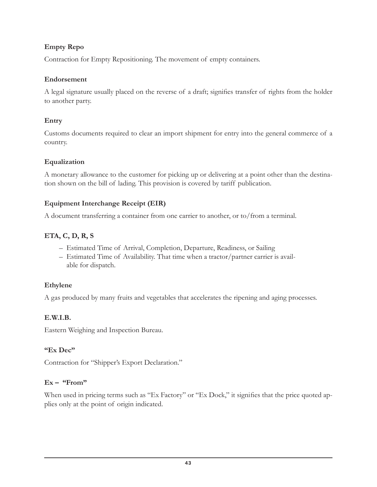## **Empty Repo**

Contraction for Empty Repositioning. The movement of empty containers.

#### **Endorsement**

A legal signature usually placed on the reverse of a draft; signifies transfer of rights from the holder to another party.

## **Entry**

Customs documents required to clear an import shipment for entry into the general commerce of a country.

## **Equalization**

A monetary allowance to the customer for picking up or delivering at a point other than the destination shown on the bill of lading. This provision is covered by tariff publication.

## **Equipment Interchange Receipt (EIR)**

A document transferring a container from one carrier to another, or to/from a terminal.

## **ETA, C, D, R, S**

- Estimated Time of Arrival, Completion, Departure, Readiness, or Sailing
- Estimated Time of Availability. That time when a tractor/partner carrier is available for dispatch.

## **Ethylene**

A gas produced by many fruits and vegetables that accelerates the ripening and aging processes.

## **E.W.I.B.**

Eastern Weighing and Inspection Bureau.

## **"Ex Dec"**

Contraction for "Shipper's Export Declaration."

## **Ex – "From"**

When used in pricing terms such as "Ex Factory" or "Ex Dock," it signifies that the price quoted applies only at the point of origin indicated.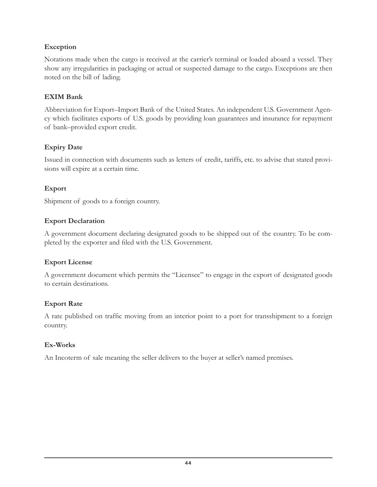## **Exception**

Notations made when the cargo is received at the carrier's terminal or loaded aboard a vessel. They show any irregularities in packaging or actual or suspected damage to the cargo. Exceptions are then noted on the bill of lading.

## **EXIM Bank**

Abbreviation for Export–Import Bank of the United States. An independent U.S. Government Agency which facilitates exports of U.S. goods by providing loan guarantees and insurance for repayment of bank–provided export credit.

## **Expiry Date**

Issued in connection with documents such as letters of credit, tariffs, etc. to advise that stated provisions will expire at a certain time.

## **Export**

Shipment of goods to a foreign country.

## **Export Declaration**

A government document declaring designated goods to be shipped out of the country. To be completed by the exporter and filed with the U.S. Government.

## **Export License**

A government document which permits the "Licensee" to engage in the export of designated goods to certain destinations.

## **Export Rate**

A rate published on traffic moving from an interior point to a port for transshipment to a foreign country.

## **Ex-Works**

An Incoterm of sale meaning the seller delivers to the buyer at seller's named premises.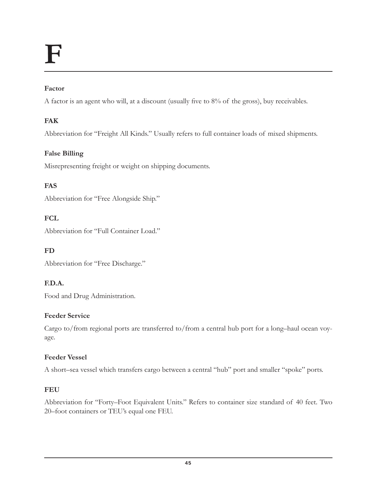#### **Factor**

A factor is an agent who will, at a discount (usually five to 8% of the gross), buy receivables.

# **FAK**

Abbreviation for "Freight All Kinds." Usually refers to full container loads of mixed shipments.

# **False Billing**

Misrepresenting freight or weight on shipping documents.

# **FAS**

Abbreviation for "Free Alongside Ship."

# **FCL**

Abbreviation for "Full Container Load."

# **FD**

Abbreviation for "Free Discharge."

# **F.D.A.**

Food and Drug Administration.

# **Feeder Service**

Cargo to/from regional ports are transferred to/from a central hub port for a long–haul ocean voyage.

# **Feeder Vessel**

A short–sea vessel which transfers cargo between a central "hub" port and smaller "spoke" ports.

# **FEU**

Abbreviation for "Forty–Foot Equivalent Units." Refers to container size standard of 40 feet. Two 20–foot containers or TEU's equal one FEU.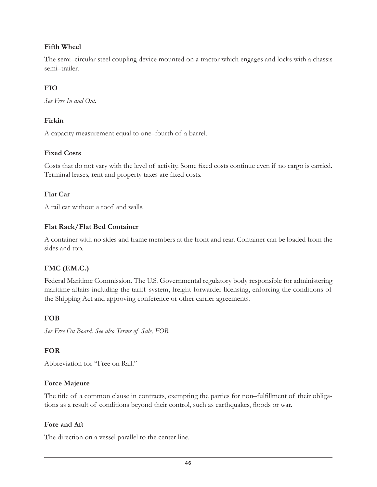#### **Fifth Wheel**

The semi–circular steel coupling device mounted on a tractor which engages and locks with a chassis semi–trailer.

# **FIO**

*See Free In and Out.*

#### **Firkin**

A capacity measurement equal to one–fourth of a barrel.

#### **Fixed Costs**

Costs that do not vary with the level of activity. Some fixed costs continue even if no cargo is carried. Terminal leases, rent and property taxes are fixed costs.

#### **Flat Car**

A rail car without a roof and walls.

#### **Flat Rack/Flat Bed Container**

A container with no sides and frame members at the front and rear. Container can be loaded from the sides and top.

# **FMC (F.M.C.)**

Federal Maritime Commission. The U.S. Governmental regulatory body responsible for administering maritime affairs including the tariff system, freight forwarder licensing, enforcing the conditions of the Shipping Act and approving conference or other carrier agreements.

# **FOB**

*See Free On Board. See also Terms of Sale, FOB.*

#### **FOR**

Abbreviation for "Free on Rail."

#### **Force Majeure**

The title of a common clause in contracts, exempting the parties for non–fulfillment of their obligations as a result of conditions beyond their control, such as earthquakes, floods or war.

#### **Fore and Aft**

The direction on a vessel parallel to the center line.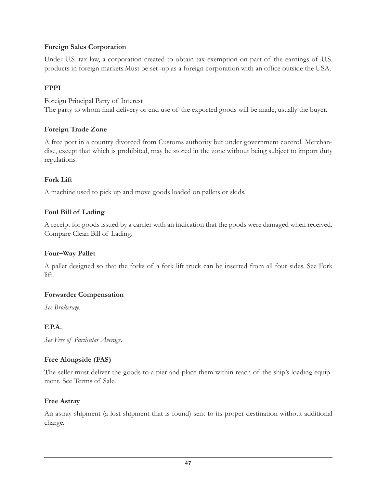#### **Foreign Sales Corporation**

Under U.S. tax law, a corporation created to obtain tax exemption on part of the earnings of U.S. products in foreign markets. Must be set–up as a foreign corporation with an office outside the USA.

#### **FPPI**

Foreign Principal Party of Interest The party to whom final delivery or end use of the exported goods will be made, usually the buyer.

#### **Foreign Trade Zone**

A free port in a country divorced from Customs authority but under government control. Merchandise, except that which is prohibited, may be stored in the zone without being subject to import duty regulations.

#### **Fork Lift**

A machine used to pick up and move goods loaded on pallets or skids.

#### **Foul Bill of Lading**

A receipt for goods issued by a carrier with an indication that the goods were damaged when received. Compare Clean Bill of Lading.

#### **Four–Way Pallet**

A pallet designed so that the forks of a fork lift truck can be inserted from all four sides. See Fork lift.

#### **Forwarder Compensation**

*See Brokerage.*

#### **F.P.A.**

*See Free of Particular Average*.

#### **Free Alongside (FAS)**

The seller must deliver the goods to a pier and place them within reach of the ship's loading equipment. See Terms of Sale.

#### **Free Astray**

An astray shipment (a lost shipment that is found) sent to its proper destination without additional charge.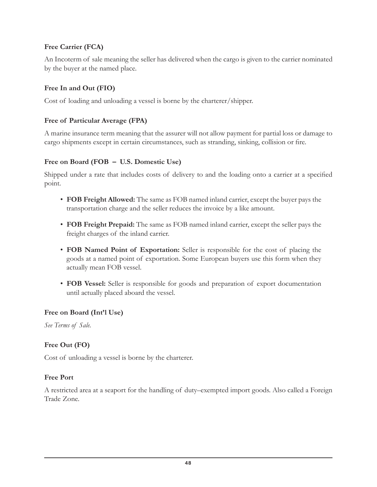#### **Free Carrier (FCA)**

An Incoterm of sale meaning the seller has delivered when the cargo is given to the carrier nominated by the buyer at the named place.

#### **Free In and Out (FIO)**

Cost of loading and unloading a vessel is borne by the charterer/shipper.

#### **Free of Particular Average (FPA)**

A marine insurance term meaning that the assurer will not allow payment for partial loss or damage to cargo shipments except in certain circumstances, such as stranding, sinking, collision or fire.

#### **Free on Board (FOB – U.S. Domestic Use)**

Shipped under a rate that includes costs of delivery to and the loading onto a carrier at a specified point.

- FOB Freight Allowed: The same as FOB named inland carrier, except the buyer pays the transportation charge and the seller reduces the invoice by a like amount.
- FOB Freight Prepaid: The same as FOB named inland carrier, except the seller pays the freight charges of the inland carrier.
- FOB Named Point of Exportation: Seller is responsible for the cost of placing the goods at a named point of exportation. Some European buyers use this form when they actually mean FOB vessel.
- FOB Vessel: Seller is responsible for goods and preparation of export documentation until actually placed aboard the vessel.

#### **Free on Board (Int'l Use)**

*See Terms of Sale.*

# **Free Out (FO)**

Cost of unloading a vessel is borne by the charterer.

#### **Free Port**

A restricted area at a seaport for the handling of duty–exempted import goods. Also called a Foreign Trade Zone.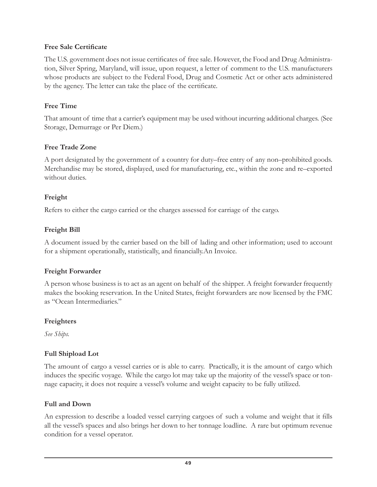#### **Free Sale Certificate**

The U.S. government does not issue certificates of free sale. However, the Food and Drug Administration, Silver Spring, Maryland, will issue, upon request, a letter of comment to the U.S. manufacturers whose products are subject to the Federal Food, Drug and Cosmetic Act or other acts administered by the agency. The letter can take the place of the certificate.

#### **Free Time**

That amount of time that a carrier's equipment may be used without incurring additional charges. (See Storage, Demurrage or Per Diem.)

#### **Free Trade Zone**

A port designated by the government of a country for duty–free entry of any non–prohibited goods. Merchandise may be stored, displayed, used for manufacturing, etc., within the zone and re–exported without duties.

#### **Freight**

Refers to either the cargo carried or the charges assessed for carriage of the cargo.

# **Freight Bill**

A document issued by the carrier based on the bill of lading and other information; used to account for a shipment operationally, statistically, and financially.An Invoice.

# **Freight Forwarder**

A person whose business is to act as an agent on behalf of the shipper. A freight forwarder frequently makes the booking reservation. In the United States, freight forwarders are now licensed by the FMC as "Ocean Intermediaries."

# **Freighters**

*See Ships.*

# **Full Shipload Lot**

The amount of cargo a vessel carries or is able to carry. Practically, it is the amount of cargo which induces the specific voyage. While the cargo lot may take up the majority of the vessel's space or tonnage capacity, it does not require a vessel's volume and weight capacity to be fully utilized.

# **Full and Down**

An expression to describe a loaded vessel carrying cargoes of such a volume and weight that it fills all the vessel's spaces and also brings her down to her tonnage loadline. A rare but optimum revenue condition for a vessel operator.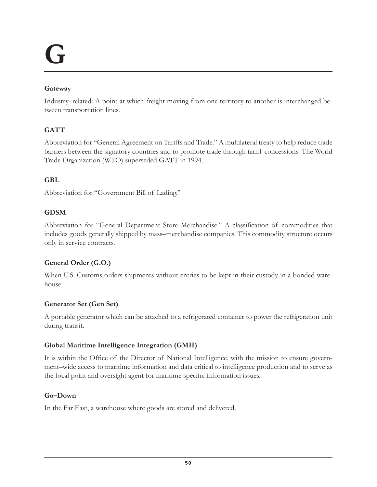#### **Gateway**

Industry–related: A point at which freight moving from one territory to another is interchanged between transportation lines.

# **GATT**

Abbreviation for "General Agreement on Tariffs and Trade." A multilateral treaty to help reduce trade barriers between the signatory countries and to promote trade through tariff concessions. The World Trade Organization (WTO) superseded GATT in 1994.

# **GBL**

Abbreviation for "Government Bill of Lading."

# **GDSM**

Abbreviation for "General Department Store Merchandise." A classification of commodities that includes goods generally shipped by mass–merchandise companies. This commodity structure occurs only in service contracts.

# **General Order (G.O.)**

When U.S. Customs orders shipments without entries to be kept in their custody in a bonded warehouse.

# **Generator Set (Gen Set)**

A portable generator which can be attached to a refrigerated container to power the refrigeration unit during transit.

# **Global Maritime Intelligence Integration (GMII)**

It is within the Office of the Director of National Intelligence, with the mission to ensure government–wide access to maritime information and data critical to intelligence production and to serve as the focal point and oversight agent for maritime specific information issues.

# **Go–Down**

In the Far East, a warehouse where goods are stored and delivered.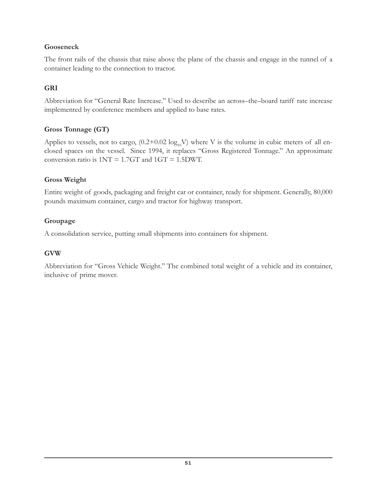# **Gooseneck**

The front rails of the chassis that raise above the plane of the chassis and engage in the tunnel of a container leading to the connection to tractor.

# **GRI**

Abbreviation for "General Rate Increase." Used to describe an across–the–board tariff rate increase implemented by conference members and applied to base rates.

# **Gross Tonnage (GT)**

Applies to vessels, not to cargo,  $(0.2+0.02 \log_{10} V)$  where V is the volume in cubic meters of all enclosed spaces on the vessel. Since 1994, it replaces "Gross Registered Tonnage." An approximate conversion ratio is  $1NT = 1.7GT$  and  $1GT = 1.5DWT$ .

#### **Gross Weight**

Entire weight of goods, packaging and freight car or container, ready for shipment. Generally, 80,000 pounds maximum container, cargo and tractor for highway transport.

#### **Groupage**

A consolidation service, putting small shipments into containers for shipment.

# **GVW**

Abbreviation for "Gross Vehicle Weight." The combined total weight of a vehicle and its container, inclusive of prime mover.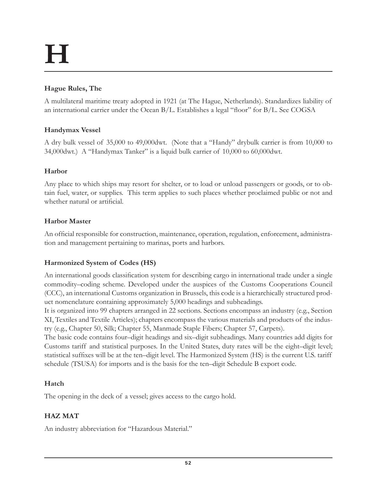# **H**

# **Hague Rules, The**

A multilateral maritime treaty adopted in 1921 (at The Hague, Netherlands). Standardizes liability of an international carrier under the Ocean  $B/L$ . Establishes a legal "floor" for  $B/L$ . See COGSA

# **Handymax Vessel**

A dry bulk vessel of 35,000 to 49,000dwt. (Note that a "Handy" drybulk carrier is from 10,000 to 34,000dwt.) A "Handymax Tanker" is a liquid bulk carrier of 10,000 to 60,000dwt.

# **Harbor**

Any place to which ships may resort for shelter, or to load or unload passengers or goods, or to obtain fuel, water, or supplies. This term applies to such places whether proclaimed public or not and whether natural or artificial.

# **Harbor Master**

An official responsible for construction, maintenance, operation, regulation, enforcement, administration and management pertaining to marinas, ports and harbors.

# **Harmonized System of Codes (HS)**

An international goods classification system for describing cargo in international trade under a single commodity–coding scheme. Developed under the auspices of the Customs Cooperations Council (CCC), an international Customs organization in Brussels, this code is a hierarchically structured product nomenclature containing approximately 5,000 headings and subheadings.

It is organized into 99 chapters arranged in 22 sections. Sections encompass an industry (e.g., Section XI, Textiles and Textile Articles); chapters encompass the various materials and products of the industry (e.g., Chapter 50, Silk; Chapter 55, Manmade Staple Fibers; Chapter 57, Carpets).

The basic code contains four–digit headings and six–digit subheadings. Many countries add digits for Customs tariff and statistical purposes. In the United States, duty rates will be the eight–digit level; statistical suffixes will be at the ten–digit level. The Harmonized System (HS) is the current U.S. tariff schedule (TSUSA) for imports and is the basis for the ten–digit Schedule B export code.

# **Hatch**

The opening in the deck of a vessel; gives access to the cargo hold.

# **HAZ MAT**

An industry abbreviation for "Hazardous Material."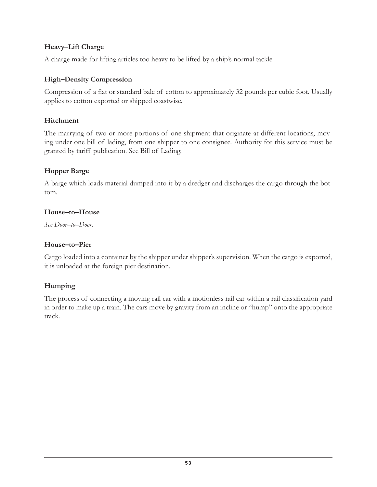#### **Heavy–Lift Charge**

A charge made for lifting articles too heavy to be lifted by a ship's normal tackle.

#### **High–Density Compression**

Compression of a Áat or standard bale of cotton to approximately 32 pounds per cubic foot. Usually applies to cotton exported or shipped coastwise.

#### **Hitchment**

The marrying of two or more portions of one shipment that originate at different locations, moving under one bill of lading, from one shipper to one consignee. Authority for this service must be granted by tariff publication. See Bill of Lading.

# **Hopper Barge**

A barge which loads material dumped into it by a dredger and discharges the cargo through the bottom.

#### **House–to–House**

*See Door–to–Door.*

#### **House–to–Pier**

Cargo loaded into a container by the shipper under shipper's supervision. When the cargo is exported, it is unloaded at the foreign pier destination.

# **Humping**

The process of connecting a moving rail car with a motionless rail car within a rail classification yard in order to make up a train. The cars move by gravity from an incline or "hump" onto the appropriate track.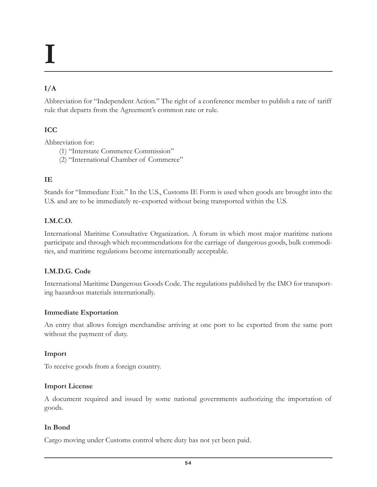# **I**

# **I/A**

Abbreviation for "Independent Action." The right of a conference member to publish a rate of tariff rule that departs from the Agreement's common rate or rule.

# **ICC**

Abbreviation for:

- (1) "Interstate Commerce Commission"
- (2) "International Chamber of Commerce"

# **IE**

Stands for "Immediate Exit." In the U.S., Customs IE Form is used when goods are brought into the U.S. and are to be immediately re–exported without being transported within the U.S.

# **I.M.C.O.**

International Maritime Consultative Organization. A forum in which most major maritime nations participate and through which recommendations for the carriage of dangerous goods, bulk commodities, and maritime regulations become internationally acceptable.

# **I.M.D.G. Code**

International Maritime Dangerous Goods Code. The regulations published by the IMO for transporting hazardous materials internationally.

# **Immediate Exportation**

An entry that allows foreign merchandise arriving at one port to be exported from the same port without the payment of duty.

# **Import**

To receive goods from a foreign country.

# **Import License**

A document required and issued by some national governments authorizing the importation of goods.

# **In Bond**

Cargo moving under Customs control where duty has not yet been paid.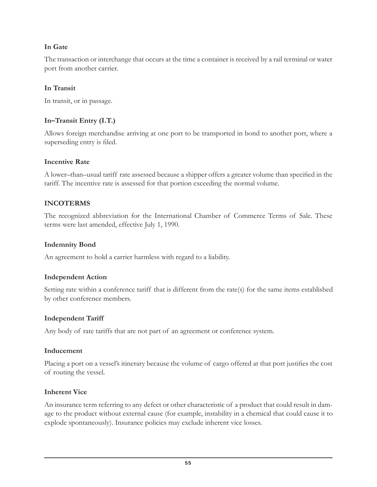# **In Gate**

The transaction or interchange that occurs at the time a container is received by a rail terminal or water port from another carrier.

#### **In Transit**

In transit, or in passage.

#### **In–Transit Entry (I.T.)**

Allows foreign merchandise arriving at one port to be transported in bond to another port, where a superseding entry is filed.

#### **Incentive Rate**

A lower–than–usual tariff rate assessed because a shipper offers a greater volume than specified in the tariff. The incentive rate is assessed for that portion exceeding the normal volume.

#### **INCOTERMS**

The recognized abbreviation for the International Chamber of Commerce Terms of Sale. These terms were last amended, effective July 1, 1990.

#### **Indemnity Bond**

An agreement to hold a carrier harmless with regard to a liability.

#### **Independent Action**

Setting rate within a conference tariff that is different from the rate(s) for the same items established by other conference members.

#### **Independent Tariff**

Any body of rate tariffs that are not part of an agreement or conference system.

#### **Inducement**

Placing a port on a vessel's itinerary because the volume of cargo offered at that port justifies the cost of routing the vessel.

#### **Inherent Vice**

An insurance term referring to any defect or other characteristic of a product that could result in damage to the product without external cause (for example, instability in a chemical that could cause it to explode spontaneously). Insurance policies may exclude inherent vice losses.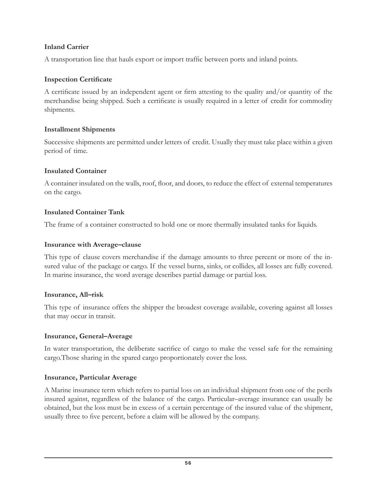#### **Inland Carrier**

A transportation line that hauls export or import traffic between ports and inland points.

#### **Inspection CertiÀcate**

A certificate issued by an independent agent or firm attesting to the quality and/or quantity of the merchandise being shipped. Such a certificate is usually required in a letter of credit for commodity shipments.

#### **Installment Shipments**

Successive shipments are permitted under letters of credit. Usually they must take place within a given period of time.

#### **Insulated Container**

A container insulated on the walls, roof, Áoor, and doors, to reduce the effect of external temperatures on the cargo.

#### **Insulated Container Tank**

The frame of a container constructed to hold one or more thermally insulated tanks for liquids.

#### **Insurance with Average–clause**

This type of clause covers merchandise if the damage amounts to three percent or more of the insured value of the package or cargo. If the vessel burns, sinks, or collides, all losses are fully covered. In marine insurance, the word average describes partial damage or partial loss.

#### **Insurance, All–risk**

This type of insurance offers the shipper the broadest coverage available, covering against all losses that may occur in transit.

#### **Insurance, General–Average**

In water transportation, the deliberate sacrifice of cargo to make the vessel safe for the remaining cargo.Those sharing in the spared cargo proportionately cover the loss.

# **Insurance, Particular Average**

A Marine insurance term which refers to partial loss on an individual shipment from one of the perils insured against, regardless of the balance of the cargo. Particular–average insurance can usually be obtained, but the loss must be in excess of a certain percentage of the insured value of the shipment, usually three to five percent, before a claim will be allowed by the company.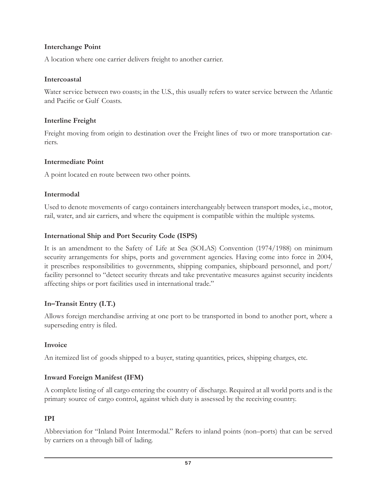#### **Interchange Point**

A location where one carrier delivers freight to another carrier.

#### **Intercoastal**

Water service between two coasts; in the U.S., this usually refers to water service between the Atlantic and Pacific or Gulf Coasts.

#### **Interline Freight**

Freight moving from origin to destination over the Freight lines of two or more transportation carriers.

#### **Intermediate Point**

A point located en route between two other points.

#### **Intermodal**

Used to denote movements of cargo containers interchangeably between transport modes, i.e., motor, rail, water, and air carriers, and where the equipment is compatible within the multiple systems.

# **International Ship and Port Security Code (ISPS)**

It is an amendment to the Safety of Life at Sea (SOLAS) Convention (1974/1988) on minimum security arrangements for ships, ports and government agencies. Having come into force in 2004, it prescribes responsibilities to governments, shipping companies, shipboard personnel, and port/ facility personnel to "detect security threats and take preventative measures against security incidents affecting ships or port facilities used in international trade."

# **In–Transit Entry (I.T.)**

Allows foreign merchandise arriving at one port to be transported in bond to another port, where a superseding entry is filed.

# **Invoice**

An itemized list of goods shipped to a buyer, stating quantities, prices, shipping charges, etc.

# **Inward Foreign Manifest (IFM)**

A complete listing of all cargo entering the country of discharge. Required at all world ports and is the primary source of cargo control, against which duty is assessed by the receiving country.

# **IPI**

Abbreviation for "Inland Point Intermodal." Refers to inland points (non–ports) that can be served by carriers on a through bill of lading.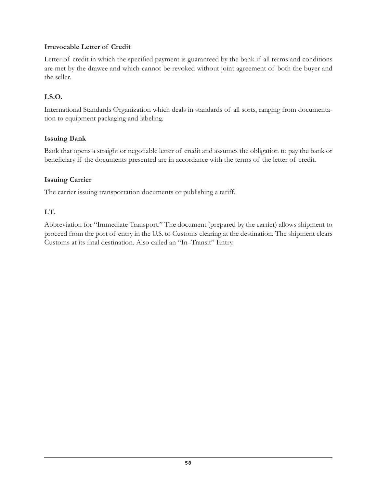# **Irrevocable Letter of Credit**

Letter of credit in which the specified payment is guaranteed by the bank if all terms and conditions are met by the drawee and which cannot be revoked without joint agreement of both the buyer and the seller.

# **I.S.O.**

International Standards Organization which deals in standards of all sorts, ranging from documentation to equipment packaging and labeling.

# **Issuing Bank**

Bank that opens a straight or negotiable letter of credit and assumes the obligation to pay the bank or beneficiary if the documents presented are in accordance with the terms of the letter of credit.

# **Issuing Carrier**

The carrier issuing transportation documents or publishing a tariff.

# **I.T.**

Abbreviation for "Immediate Transport." The document (prepared by the carrier) allows shipment to proceed from the port of entry in the U.S. to Customs clearing at the destination. The shipment clears Customs at its final destination. Also called an "In–Transit" Entry.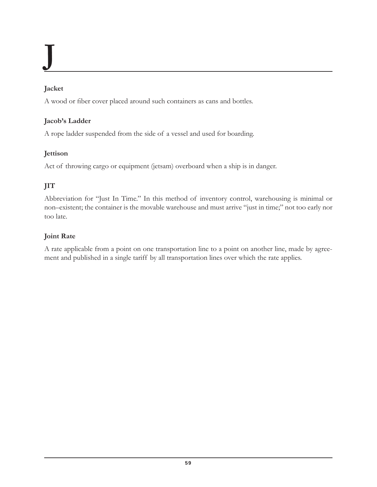# **J**

# **Jacket**

A wood or fiber cover placed around such containers as cans and bottles.

# **Jacob's Ladder**

A rope ladder suspended from the side of a vessel and used for boarding.

# **Jettison**

Act of throwing cargo or equipment (jetsam) overboard when a ship is in danger.

# **JIT**

Abbreviation for "Just In Time." In this method of inventory control, warehousing is minimal or non–existent; the container is the movable warehouse and must arrive "just in time;" not too early nor too late.

# **Joint Rate**

A rate applicable from a point on one transportation line to a point on another line, made by agreement and published in a single tariff by all transportation lines over which the rate applies.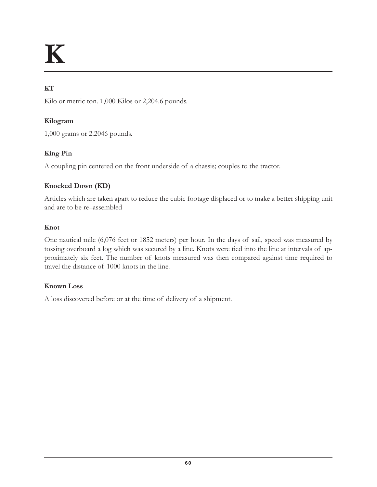# **K**

# **KT**

Kilo or metric ton. 1,000 Kilos or 2,204.6 pounds.

# **Kilogram**

1,000 grams or 2.2046 pounds.

# **King Pin**

A coupling pin centered on the front underside of a chassis; couples to the tractor.

# **Knocked Down (KD)**

Articles which are taken apart to reduce the cubic footage displaced or to make a better shipping unit and are to be re–assembled

# **Knot**

One nautical mile (6,076 feet or 1852 meters) per hour. In the days of sail, speed was measured by tossing overboard a log which was secured by a line. Knots were tied into the line at intervals of approximately six feet. The number of knots measured was then compared against time required to travel the distance of 1000 knots in the line.

# **Known Loss**

A loss discovered before or at the time of delivery of a shipment.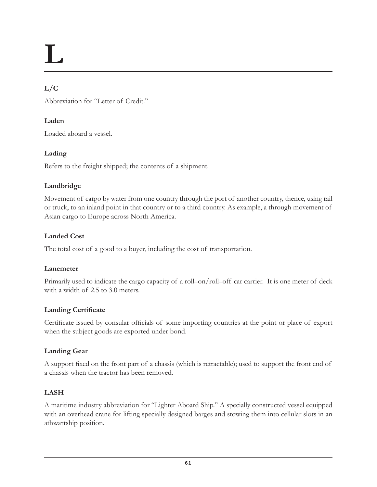# **L**

# **L/C**

Abbreviation for "Letter of Credit."

# **Laden**

Loaded aboard a vessel.

# **Lading**

Refers to the freight shipped; the contents of a shipment.

# **Landbridge**

Movement of cargo by water from one country through the port of another country, thence, using rail or truck, to an inland point in that country or to a third country. As example, a through movement of Asian cargo to Europe across North America.

# **Landed Cost**

The total cost of a good to a buyer, including the cost of transportation.

# **Lanemeter**

Primarily used to indicate the cargo capacity of a roll–on/roll–off car carrier. It is one meter of deck with a width of 2.5 to 3.0 meters.

# Landing Certificate

Certificate issued by consular officials of some importing countries at the point or place of export when the subject goods are exported under bond.

# **Landing Gear**

A support fixed on the front part of a chassis (which is retractable); used to support the front end of a chassis when the tractor has been removed.

# **LASH**

A maritime industry abbreviation for "Lighter Aboard Ship." A specially constructed vessel equipped with an overhead crane for lifting specially designed barges and stowing them into cellular slots in an athwartship position.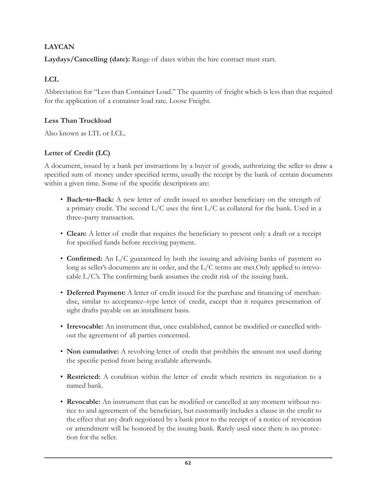# **LAYCAN**

**Laydays/Cancelling (date):** Range of dates within the hire contract must start.

# **LCL**

Abbreviation for "Less than Container Load." The quantity of freight which is less than that required for the application of a container load rate. Loose Freight.

# **Less Than Truckload**

Also known as LTL or LCL.

# **Letter of Credit (LC)**

A document, issued by a bank per instructions by a buyer of goods, authorizing the seller to draw a specified sum of money under specified terms, usually the receipt by the bank of certain documents within a given time. Some of the specific descriptions are:

- Back-to-Back: A new letter of credit issued to another beneficiary on the strength of a primary credit. The second  $L/C$  uses the first  $L/C$  as collateral for the bank. Used in a three–party transaction.
- Clean: A letter of credit that requires the beneficiary to present only a draft or a receipt for specified funds before receiving payment.
- **Confirmed:** An L/C guaranteed by both the issuing and advising banks of payment so long as seller's documents are in order, and the L/C terms are met.Only applied to irrevocable  $L/C$ 's. The confirming bank assumes the credit risk of the issuing bank.
- Deferred Payment: A letter of credit issued for the purchase and financing of merchandise, similar to acceptance–type letter of credit, except that it requires presentation of sight drafts payable on an installment basis.
- Irrevocable: An instrument that, once established, cannot be modified or cancelled without the agreement of all parties concerned.
- Non cumulative: A revolving letter of credit that prohibits the amount not used during the specific period from being available afterwards.
- **Restricted:** A condition within the letter of credit which restricts its negotiation to a named bank.
- Revocable: An instrument that can be modified or cancelled at any moment without notice to and agreement of the beneficiary, but customarily includes a clause in the credit to the effect that any draft negotiated by a bank prior to the receipt of a notice of revocation or amendment will be honored by the issuing bank. Rarely used since there is no protection for the seller.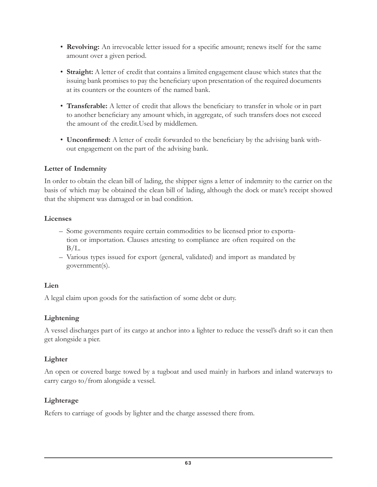- **Revolving:** An irrevocable letter issued for a specific amount; renews itself for the same amount over a given period.
- **Straight:** A letter of credit that contains a limited engagement clause which states that the issuing bank promises to pay the beneficiary upon presentation of the required documents at its counters or the counters of the named bank.
- Transferable: A letter of credit that allows the beneficiary to transfer in whole or in part to another beneficiary any amount which, in aggregate, of such transfers does not exceed the amount of the credit.Used by middlemen.
- **Unconfirmed:** A letter of credit forwarded to the beneficiary by the advising bank without engagement on the part of the advising bank.

# **Letter of Indemnity**

In order to obtain the clean bill of lading, the shipper signs a letter of indemnity to the carrier on the basis of which may be obtained the clean bill of lading, although the dock or mate's receipt showed that the shipment was damaged or in bad condition.

# **Licenses**

- Some governments require certain commodities to be licensed prior to exportation or importation. Clauses attesting to compliance are often required on the  $B/I$ .
- Various types issued for export (general, validated) and import as mandated by government(s).

# **Lien**

A legal claim upon goods for the satisfaction of some debt or duty.

# **Lightening**

A vessel discharges part of its cargo at anchor into a lighter to reduce the vessel's draft so it can then get alongside a pier.

# **Lighter**

An open or covered barge towed by a tugboat and used mainly in harbors and inland waterways to carry cargo to/from alongside a vessel.

# **Lighterage**

Refers to carriage of goods by lighter and the charge assessed there from.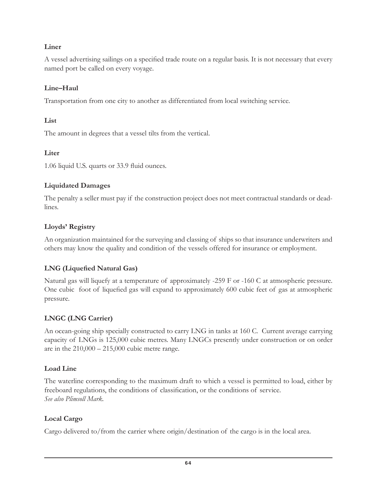# **Liner**

A vessel advertising sailings on a specified trade route on a regular basis. It is not necessary that every named port be called on every voyage.

#### **Line–Haul**

Transportation from one city to another as differentiated from local switching service.

#### **List**

The amount in degrees that a vessel tilts from the vertical.

#### **Liter**

1.06 liquid U.S. quarts or 33.9 Áuid ounces.

# **Liquidated Damages**

The penalty a seller must pay if the construction project does not meet contractual standards or deadlines.

# **Lloyds' Registry**

An organization maintained for the surveying and classing of ships so that insurance underwriters and others may know the quality and condition of the vessels offered for insurance or employment.

# **LNG** (Liquefied Natural Gas)

Natural gas will liquefy at a temperature of approximately -259 F or -160 C at atmospheric pressure. One cubic foot of liquefied gas will expand to approximately 600 cubic feet of gas at atmospheric pressure.

# **LNGC (LNG Carrier)**

An ocean-going ship specially constructed to carry LNG in tanks at 160 C. Current average carrying capacity of LNGs is 125,000 cubic metres. Many LNGCs presently under construction or on order are in the  $210,000 - 215,000$  cubic metre range.

# **Load Line**

The waterline corresponding to the maximum draft to which a vessel is permitted to load, either by freeboard regulations, the conditions of classification, or the conditions of service. *See also Plimsoll Mark.*

#### **Local Cargo**

Cargo delivered to/from the carrier where origin/destination of the cargo is in the local area.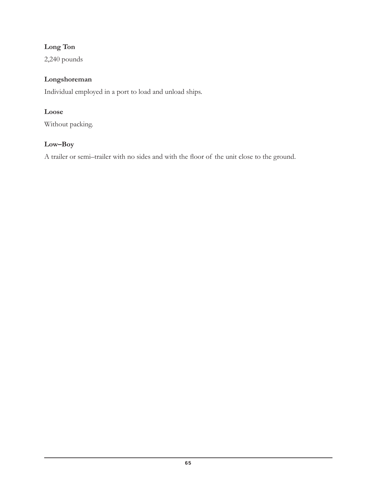# **Long Ton**

2,240 pounds

# **Longshoreman**

Individual employed in a port to load and unload ships.

# **Loose**

Without packing.

# **Low–Boy**

A trailer or semi-trailer with no sides and with the floor of the unit close to the ground.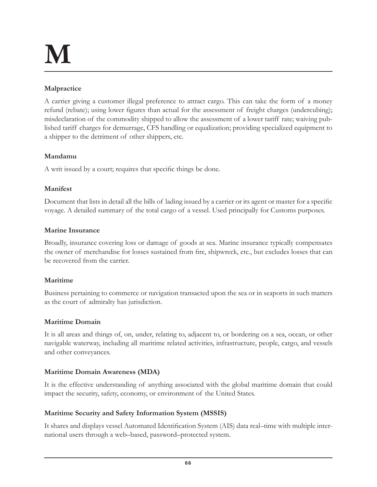# **M**

# **Malpractice**

A carrier giving a customer illegal preference to attract cargo. This can take the form of a money refund (rebate); using lower figures than actual for the assessment of freight charges (undercubing); misdeclaration of the commodity shipped to allow the assessment of a lower tariff rate; waiving published tariff charges for demurrage, CFS handling or equalization; providing specialized equipment to a shipper to the detriment of other shippers, etc.

# **Mandamu**

A writ issued by a court; requires that specific things be done.

# **Manifest**

Document that lists in detail all the bills of lading issued by a carrier or its agent or master for a specific voyage. A detailed summary of the total cargo of a vessel. Used principally for Customs purposes.

# **Marine Insurance**

Broadly, insurance covering loss or damage of goods at sea. Marine insurance typically compensates the owner of merchandise for losses sustained from fire, shipwreck, etc., but excludes losses that can be recovered from the carrier.

# **Maritime**

Business pertaining to commerce or navigation transacted upon the sea or in seaports in such matters as the court of admiralty has jurisdiction.

# **Maritime Domain**

It is all areas and things of, on, under, relating to, adjacent to, or bordering on a sea, ocean, or other navigable waterway, including all maritime related activities, infrastructure, people, cargo, and vessels and other conveyances.

# **Maritime Domain Awareness (MDA)**

It is the effective understanding of anything associated with the global maritime domain that could impact the security, safety, economy, or environment of the United States.

# **Maritime Security and Safety Information System (MSSIS)**

It shares and displays vessel Automated Identification System (AIS) data real–time with multiple international users through a web–based, password–protected system.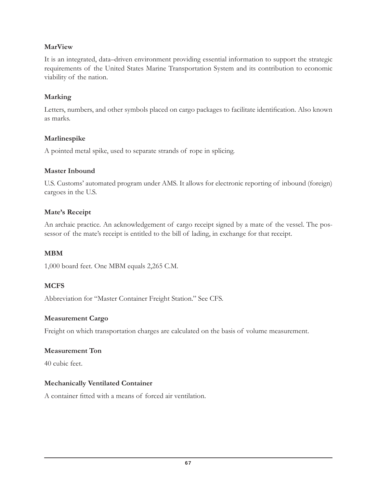#### **MarView**

It is an integrated, data–driven environment providing essential information to support the strategic requirements of the United States Marine Transportation System and its contribution to economic viability of the nation.

#### **Marking**

Letters, numbers, and other symbols placed on cargo packages to facilitate identification. Also known as marks.

#### **Marlinespike**

A pointed metal spike, used to separate strands of rope in splicing.

#### **Master Inbound**

U.S. Customs' automated program under AMS. It allows for electronic reporting of inbound (foreign) cargoes in the U.S.

#### **Mate's Receipt**

An archaic practice. An acknowledgement of cargo receipt signed by a mate of the vessel. The possessor of the mate's receipt is entitled to the bill of lading, in exchange for that receipt.

#### **MBM**

1,000 board feet. One MBM equals 2,265 C.M.

# **MCFS**

Abbreviation for "Master Container Freight Station." See CFS.

#### **Measurement Cargo**

Freight on which transportation charges are calculated on the basis of volume measurement.

#### **Measurement Ton**

40 cubic feet.

#### **Mechanically Ventilated Container**

A container Àtted with a means of forced air ventilation.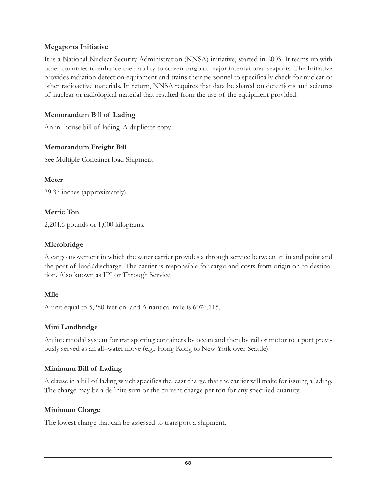#### **Megaports Initiative**

It is a National Nuclear Security Administration (NNSA) initiative, started in 2003. It teams up with other countries to enhance their ability to screen cargo at major international seaports. The Initiative provides radiation detection equipment and trains their personnel to specifically check for nuclear or other radioactive materials. In return, NNSA requires that data be shared on detections and seizures of nuclear or radiological material that resulted from the use of the equipment provided.

# **Memorandum Bill of Lading**

An in–house bill of lading. A duplicate copy.

#### **Memorandum Freight Bill**

See Multiple Container load Shipment.

#### **Meter**

39.37 inches (approximately).

#### **Metric Ton**

2,204.6 pounds or 1,000 kilograms.

#### **Microbridge**

A cargo movement in which the water carrier provides a through service between an inland point and the port of load/discharge. The carrier is responsible for cargo and costs from origin on to destination. Also known as IPI or Through Service.

#### **Mile**

A unit equal to 5,280 feet on land.A nautical mile is 6076.115.

#### **Mini Landbridge**

An intermodal system for transporting containers by ocean and then by rail or motor to a port previously served as an all–water move (e.g., Hong Kong to New York over Seattle).

#### **Minimum Bill of Lading**

A clause in a bill of lading which specifies the least charge that the carrier will make for issuing a lading. The charge may be a definite sum or the current charge per ton for any specified quantity.

#### **Minimum Charge**

The lowest charge that can be assessed to transport a shipment.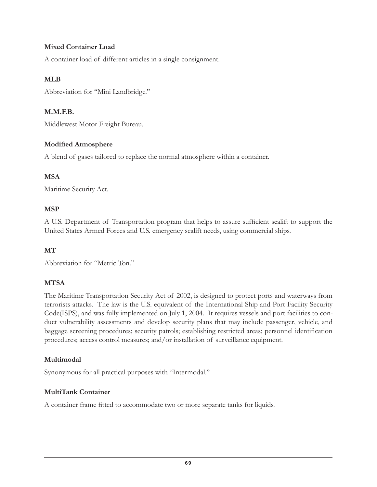# **Mixed Container Load**

A container load of different articles in a single consignment.

# **MLB**

Abbreviation for "Mini Landbridge."

#### **M.M.F.B.**

Middlewest Motor Freight Bureau.

#### **ModiÀed Atmosphere**

A blend of gases tailored to replace the normal atmosphere within a container.

#### **MSA**

Maritime Security Act.

#### **MSP**

A U.S. Department of Transportation program that helps to assure sufficient sealift to support the United States Armed Forces and U.S. emergency sealift needs, using commercial ships.

# **MT**

Abbreviation for "Metric Ton."

# **MTSA**

The Maritime Transportation Security Act of 2002, is designed to protect ports and waterways from terrorists attacks. The law is the U.S. equivalent of the International Ship and Port Facility Security Code(ISPS), and was fully implemented on July 1, 2004. It requires vessels and port facilities to conduct vulnerability assessments and develop security plans that may include passenger, vehicle, and baggage screening procedures; security patrols; establishing restricted areas; personnel identification procedures; access control measures; and/or installation of surveillance equipment.

#### **Multimodal**

Synonymous for all practical purposes with "Intermodal."

# **MultiTank Container**

A container frame fitted to accommodate two or more separate tanks for liquids.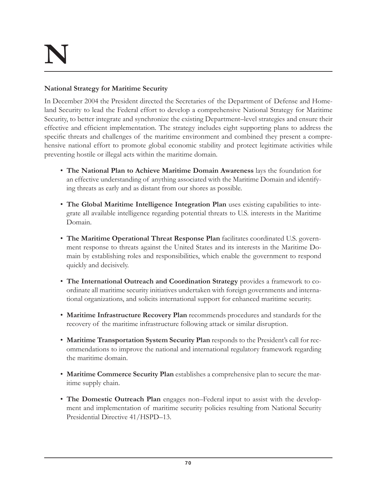# **National Strategy for Maritime Security**

In December 2004 the President directed the Secretaries of the Department of Defense and Homeland Security to lead the Federal effort to develop a comprehensive National Strategy for Maritime Security, to better integrate and synchronize the existing Department–level strategies and ensure their effective and efficient implementation. The strategy includes eight supporting plans to address the specific threats and challenges of the maritime environment and combined they present a comprehensive national effort to promote global economic stability and protect legitimate activities while preventing hostile or illegal acts within the maritime domain.

- The National Plan to Achieve Maritime Domain Awareness lays the foundation for an effective understanding of anything associated with the Maritime Domain and identifying threats as early and as distant from our shores as possible.
- The Global Maritime Intelligence Integration Plan uses existing capabilities to integrate all available intelligence regarding potential threats to U.S. interests in the Maritime Domain.
- The Maritime Operational Threat Response Plan facilitates coordinated U.S. government response to threats against the United States and its interests in the Maritime Domain by establishing roles and responsibilities, which enable the government to respond quickly and decisively.
- The International Outreach and Coordination Strategy provides a framework to coordinate all maritime security initiatives undertaken with foreign governments and international organizations, and solicits international support for enhanced maritime security.
- Maritime Infrastructure Recovery Plan recommends procedures and standards for the recovery of the maritime infrastructure following attack or similar disruption.
- Maritime Transportation System Security Plan responds to the President's call for recommendations to improve the national and international regulatory framework regarding the maritime domain.
- Maritime Commerce Security Plan establishes a comprehensive plan to secure the maritime supply chain.
- The Domestic Outreach Plan engages non–Federal input to assist with the development and implementation of maritime security policies resulting from National Security Presidential Directive 41/HSPD–13.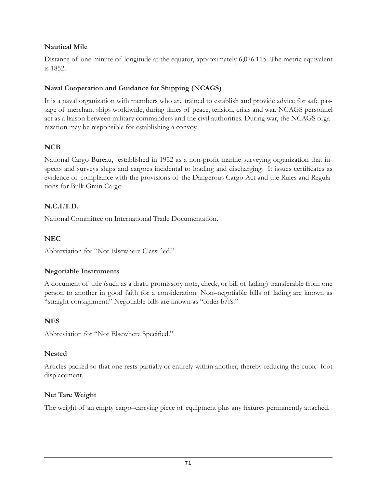# **Nautical Mile**

Distance of one minute of longitude at the equator, approximately 6,076.115. The metric equivalent is 1852.

# **Naval Cooperation and Guidance for Shipping (NCAGS)**

It is a naval organization with members who are trained to establish and provide advice for safe passage of merchant ships worldwide, during times of peace, tension, crisis and war. NCAGS personnel act as a liaison between military commanders and the civil authorities. During war, the NCAGS organization may be responsible for establishing a convoy.

# **NCB**

National Cargo Bureau, established in 1952 as a non-profit marine surveying organization that inspects and surveys ships and cargoes incidental to loading and discharging. It issues certificates as evidence of compliance with the provisions of the Dangerous Cargo Act and the Rules and Regulations for Bulk Grain Cargo.

# **N.C.I.T.D.**

National Committee on International Trade Documentation.

# **NEC**

Abbreviation for "Not Elsewhere Classified."

# **Negotiable Instruments**

A document of title (such as a draft, promissory note, check, or bill of lading) transferable from one person to another in good faith for a consideration. Non–negotiable bills of lading are known as "straight consignment." Negotiable bills are known as "order b/l's."

# **NES**

Abbreviation for "Not Elsewhere Specified."

# **Nested**

Articles packed so that one rests partially or entirely within another, thereby reducing the cubic–foot displacement.

# **Net Tare Weight**

The weight of an empty cargo–carrying piece of equipment plus any fixtures permanently attached.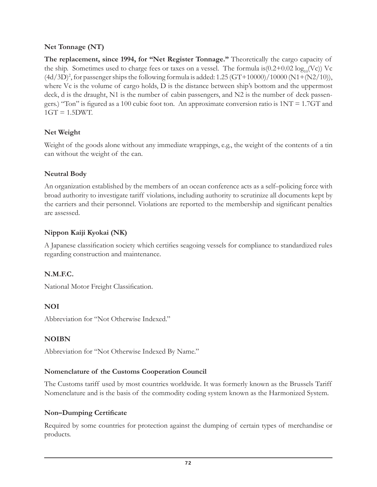# **Net Tonnage (NT)**

**The replacement, since 1994, for "Net Register Tonnage."** Theoretically the cargo capacity of the ship. Sometimes used to charge fees or taxes on a vessel. The formula is $(0.2+0.02 \log_{10}(V_c))$  Vc  $(4d/3D)^2$ , for passenger ships the following formula is added: 1.25  $(GT+10000)/10000$  (N1+(N2/10)), where Vc is the volume of cargo holds, D is the distance between ship's bottom and the uppermost deck, d is the draught, N1 is the number of cabin passengers, and N2 is the number of deck passengers.) "Ton" is figured as a 100 cubic foot ton. An approximate conversion ratio is  $1NT = 1.7GT$  and  $1GT = 1.5DWT$ .

# **Net Weight**

Weight of the goods alone without any immediate wrappings, e.g., the weight of the contents of a tin can without the weight of the can.

#### **Neutral Body**

An organization established by the members of an ocean conference acts as a self–policing force with broad authority to investigate tariff violations, including authority to scrutinize all documents kept by the carriers and their personnel. Violations are reported to the membership and significant penalties are assessed.

#### **Nippon Kaiji Kyokai (NK)**

A Japanese classification society which certifies seagoing vessels for compliance to standardized rules regarding construction and maintenance.

#### **N.M.F.C.**

National Motor Freight Classification.

#### **NOI**

Abbreviation for "Not Otherwise Indexed."

#### **NOIBN**

Abbreviation for "Not Otherwise Indexed By Name."

#### **Nomenclature of the Customs Cooperation Council**

The Customs tariff used by most countries worldwide. It was formerly known as the Brussels Tariff Nomenclature and is the basis of the commodity coding system known as the Harmonized System.

#### **Non–Dumping Certificate**

Required by some countries for protection against the dumping of certain types of merchandise or products.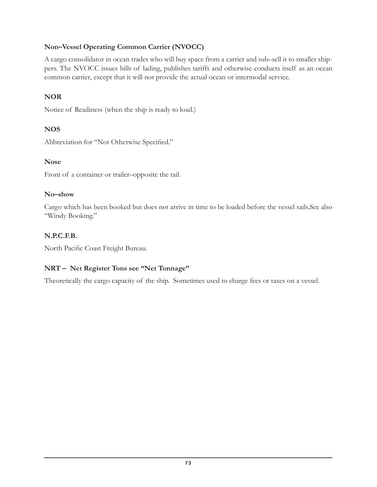# **Non–Vessel Operating Common Carrier (NVOCC)**

A cargo consolidator in ocean trades who will buy space from a carrier and sub–sell it to smaller shippers. The NVOCC issues bills of lading, publishes tariffs and otherwise conducts itself as an ocean common carrier, except that it will not provide the actual ocean or intermodal service.

# **NOR**

Notice of Readiness (when the ship is ready to load.)

# **NOS**

Abbreviation for "Not Otherwise Specified."

#### **Nose**

Front of a container or trailer–opposite the tail.

#### **No–show**

Cargo which has been booked but does not arrive in time to be loaded before the vessel sails.See also "Windy Booking."

#### **N.P.C.F.B.**

North Pacific Coast Freight Bureau.

# **NRT – Net Register Tons see "Net Tonnage"**

Theoretically the cargo capacity of the ship. Sometimes used to charge fees or taxes on a vessel.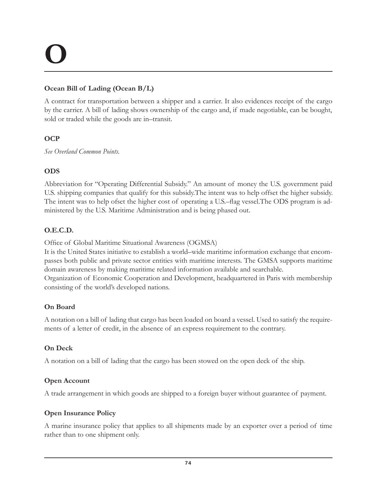# **Ocean Bill of Lading (Ocean B/L)**

A contract for transportation between a shipper and a carrier. It also evidences receipt of the cargo by the carrier. A bill of lading shows ownership of the cargo and, if made negotiable, can be bought, sold or traded while the goods are in–transit.

# **OCP**

*See Overland Common Points.*

# **ODS**

Abbreviation for "Operating Differential Subsidy." An amount of money the U.S. government paid U.S. shipping companies that qualify for this subsidy.The intent was to help offset the higher subsidy. The intent was to help ofset the higher cost of operating a U.S.–Áag vessel.The ODS program is administered by the U.S. Maritime Administration and is being phased out.

# **O.E.C.D.**

Office of Global Maritime Situational Awareness (OGMSA)

It is the United States initiative to establish a world–wide maritime information exchange that encompasses both public and private sector entities with maritime interests. The GMSA supports maritime domain awareness by making maritime related information available and searchable.

Organization of Economic Cooperation and Development, headquartered in Paris with membership consisting of the world's developed nations.

# **On Board**

A notation on a bill of lading that cargo has been loaded on board a vessel. Used to satisfy the requirements of a letter of credit, in the absence of an express requirement to the contrary.

# **On Deck**

A notation on a bill of lading that the cargo has been stowed on the open deck of the ship.

# **Open Account**

A trade arrangement in which goods are shipped to a foreign buyer without guarantee of payment.

# **Open Insurance Policy**

A marine insurance policy that applies to all shipments made by an exporter over a period of time rather than to one shipment only.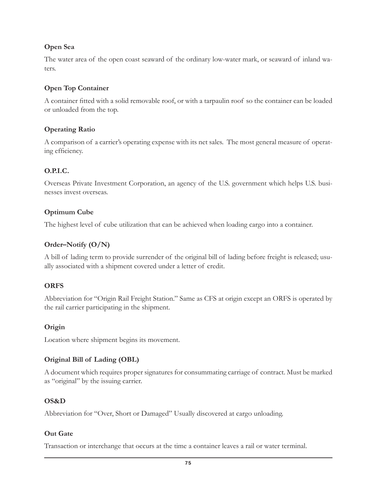# **Open Sea**

The water area of the open coast seaward of the ordinary low-water mark, or seaward of inland waters.

#### **Open Top Container**

A container Àtted with a solid removable roof, or with a tarpaulin roof so the container can be loaded or unloaded from the top.

#### **Operating Ratio**

A comparison of a carrier's operating expense with its net sales. The most general measure of operating efficiency.

# **O.P.I.C.**

Overseas Private Investment Corporation, an agency of the U.S. government which helps U.S. businesses invest overseas.

#### **Optimum Cube**

The highest level of cube utilization that can be achieved when loading cargo into a container.

#### **Order–Notify (O/N)**

A bill of lading term to provide surrender of the original bill of lading before freight is released; usually associated with a shipment covered under a letter of credit.

# **ORFS**

Abbreviation for "Origin Rail Freight Station." Same as CFS at origin except an ORFS is operated by the rail carrier participating in the shipment.

#### **Origin**

Location where shipment begins its movement.

# **Original Bill of Lading (OBL)**

A document which requires proper signatures for consummating carriage of contract. Must be marked as "original" by the issuing carrier.

#### **OS&D**

Abbreviation for "Over, Short or Damaged" Usually discovered at cargo unloading.

#### **Out Gate**

Transaction or interchange that occurs at the time a container leaves a rail or water terminal.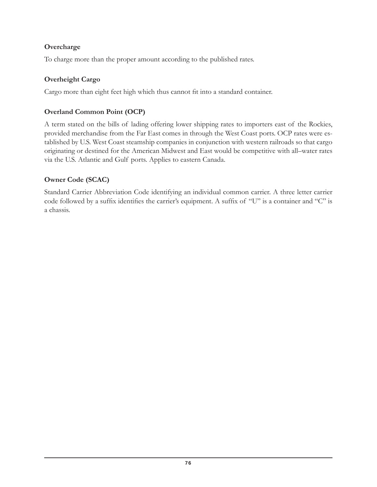# **Overcharge**

To charge more than the proper amount according to the published rates.

# **Overheight Cargo**

Cargo more than eight feet high which thus cannot fit into a standard container.

# **Overland Common Point (OCP)**

A term stated on the bills of lading offering lower shipping rates to importers east of the Rockies, provided merchandise from the Far East comes in through the West Coast ports. OCP rates were established by U.S. West Coast steamship companies in conjunction with western railroads so that cargo originating or destined for the American Midwest and East would be competitive with all–water rates via the U.S. Atlantic and Gulf ports. Applies to eastern Canada.

# **Owner Code (SCAC)**

Standard Carrier Abbreviation Code identifying an individual common carrier. A three letter carrier code followed by a suffix identifies the carrier's equipment. A suffix of "U" is a container and "C" is a chassis.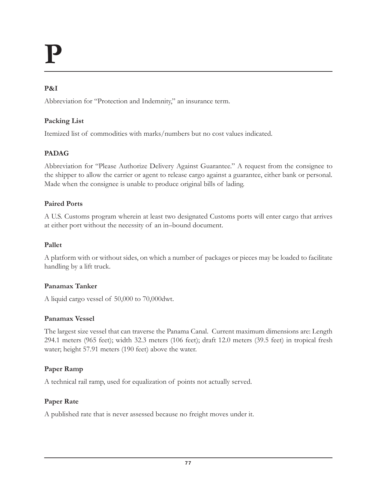# **P**

# **P&I**

Abbreviation for "Protection and Indemnity," an insurance term.

# **Packing List**

Itemized list of commodities with marks/numbers but no cost values indicated.

# **PADAG**

Abbreviation for "Please Authorize Delivery Against Guarantee." A request from the consignee to the shipper to allow the carrier or agent to release cargo against a guarantee, either bank or personal. Made when the consignee is unable to produce original bills of lading.

#### **Paired Ports**

A U.S. Customs program wherein at least two designated Customs ports will enter cargo that arrives at either port without the necessity of an in–bound document.

#### **Pallet**

A platform with or without sides, on which a number of packages or pieces may be loaded to facilitate handling by a lift truck.

# **Panamax Tanker**

A liquid cargo vessel of 50,000 to 70,000dwt.

# **Panamax Vessel**

The largest size vessel that can traverse the Panama Canal. Current maximum dimensions are: Length 294.1 meters (965 feet); width 32.3 meters (106 feet); draft 12.0 meters (39.5 feet) in tropical fresh water; height 57.91 meters (190 feet) above the water.

# **Paper Ramp**

A technical rail ramp, used for equalization of points not actually served.

# **Paper Rate**

A published rate that is never assessed because no freight moves under it.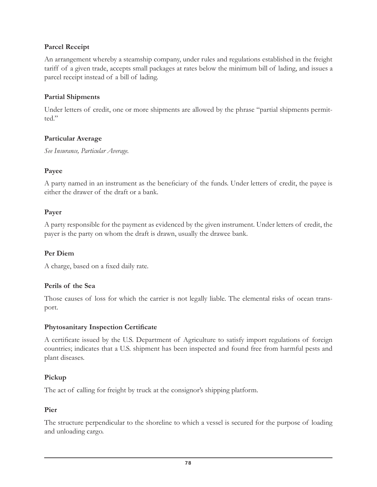#### **Parcel Receipt**

An arrangement whereby a steamship company, under rules and regulations established in the freight tariff of a given trade, accepts small packages at rates below the minimum bill of lading, and issues a parcel receipt instead of a bill of lading.

#### **Partial Shipments**

Under letters of credit, one or more shipments are allowed by the phrase "partial shipments permitted."

#### **Particular Average**

*See Insurance, Particular Average.*

#### **Payee**

A party named in an instrument as the beneficiary of the funds. Under letters of credit, the payee is either the drawer of the draft or a bank.

#### **Payer**

A party responsible for the payment as evidenced by the given instrument. Under letters of credit, the payer is the party on whom the draft is drawn, usually the drawee bank.

#### **Per Diem**

A charge, based on a fixed daily rate.

#### **Perils of the Sea**

Those causes of loss for which the carrier is not legally liable. The elemental risks of ocean transport.

#### **Phytosanitary Inspection Certificate**

A certificate issued by the U.S. Department of Agriculture to satisfy import regulations of foreign countries; indicates that a U.S. shipment has been inspected and found free from harmful pests and plant diseases.

#### **Pickup**

The act of calling for freight by truck at the consignor's shipping platform.

#### **Pier**

The structure perpendicular to the shoreline to which a vessel is secured for the purpose of loading and unloading cargo.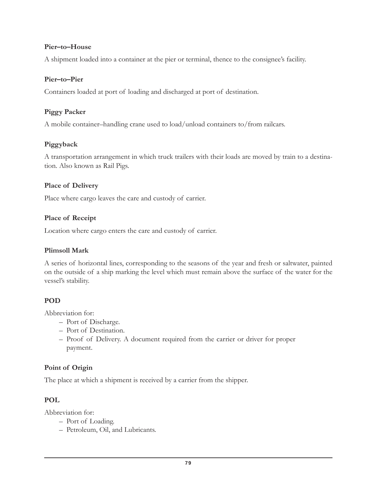#### **Pier–to–House**

A shipment loaded into a container at the pier or terminal, thence to the consignee's facility.

#### **Pier–to–Pier**

Containers loaded at port of loading and discharged at port of destination.

#### **Piggy Packer**

A mobile container–handling crane used to load/unload containers to/from railcars.

#### **Piggyback**

A transportation arrangement in which truck trailers with their loads are moved by train to a destination. Also known as Rail Pigs.

#### **Place of Delivery**

Place where cargo leaves the care and custody of carrier.

#### **Place of Receipt**

Location where cargo enters the care and custody of carrier.

#### **Plimsoll Mark**

A series of horizontal lines, corresponding to the seasons of the year and fresh or saltwater, painted on the outside of a ship marking the level which must remain above the surface of the water for the vessel's stability.

#### **POD**

Abbreviation for:

- Port of Discharge.
- Port of Destination.
- Proof of Delivery. A document required from the carrier or driver for proper payment.

#### **Point of Origin**

The place at which a shipment is received by a carrier from the shipper.

#### **POL**

Abbreviation for:

- Port of Loading.
- Petroleum, Oil, and Lubricants.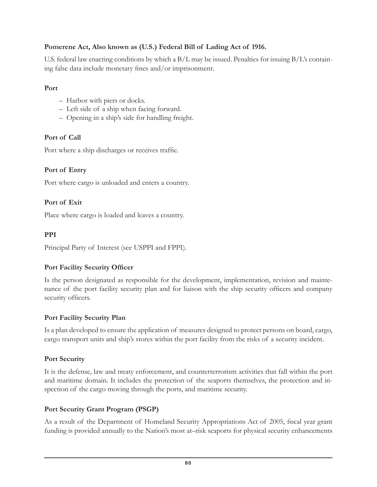# **Pomerene Act, Also known as (U.S.) Federal Bill of Lading Act of 1916.**

U.S. federal law enacting conditions by which a  $B/L$  may be issued. Penalties for issuing  $B/L$ 's containing false data include monetary fines and/or imprisonment.

#### **Port**

- Harbor with piers or docks.
- Left side of a ship when facing forward.
- Opening in a ship's side for handling freight.

# **Port of Call**

Port where a ship discharges or receives traffic.

# **Port of Entry**

Port where cargo is unloaded and enters a country.

# **Port of Exit**

Place where cargo is loaded and leaves a country.

# **PPI**

Principal Party of Interest (see USPPI and FPPI).

# **Port Facility Security Officer**

Is the person designated as responsible for the development, implementation, revision and maintenance of the port facility security plan and for liaison with the ship security officers and company security officers.

# **Port Facility Security Plan**

Is a plan developed to ensure the application of measures designed to protect persons on board, cargo, cargo transport units and ship's stores within the port facility from the risks of a security incident.

# **Port Security**

It is the defense, law and treaty enforcement, and counterterrorism activities that fall within the port and maritime domain. It includes the protection of the seaports themselves, the protection and inspection of the cargo moving through the ports, and maritime security.

# **Port Security Grant Program (PSGP)**

As a result of the Department of Homeland Security Appropriations Act of 2005, fiscal year grant funding is provided annually to the Nation's most at–risk seaports for physical security enhancements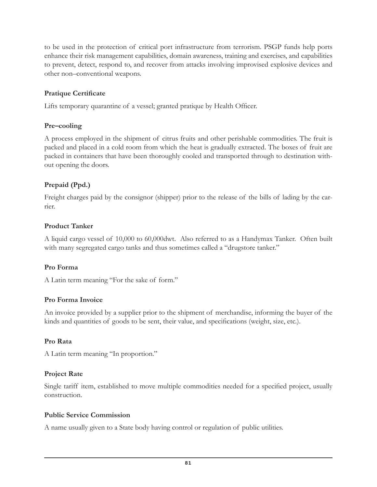to be used in the protection of critical port infrastructure from terrorism. PSGP funds help ports enhance their risk management capabilities, domain awareness, training and exercises, and capabilities to prevent, detect, respond to, and recover from attacks involving improvised explosive devices and other non–conventional weapons.

## **Pratique Certificate**

Lifts temporary quarantine of a vessel; granted pratique by Health Officer.

### **Pre–cooling**

A process employed in the shipment of citrus fruits and other perishable commodities. The fruit is packed and placed in a cold room from which the heat is gradually extracted. The boxes of fruit are packed in containers that have been thoroughly cooled and transported through to destination without opening the doors.

## **Prepaid (Ppd.)**

Freight charges paid by the consignor (shipper) prior to the release of the bills of lading by the carrier.

#### **Product Tanker**

A liquid cargo vessel of 10,000 to 60,000dwt. Also referred to as a Handymax Tanker. Often built with many segregated cargo tanks and thus sometimes called a "drugstore tanker."

### **Pro Forma**

A Latin term meaning "For the sake of form."

### **Pro Forma Invoice**

An invoice provided by a supplier prior to the shipment of merchandise, informing the buyer of the kinds and quantities of goods to be sent, their value, and specifications (weight, size, etc.).

### **Pro Rata**

A Latin term meaning "In proportion."

### **Project Rate**

Single tariff item, established to move multiple commodities needed for a specified project, usually construction.

#### **Public Service Commission**

A name usually given to a State body having control or regulation of public utilities.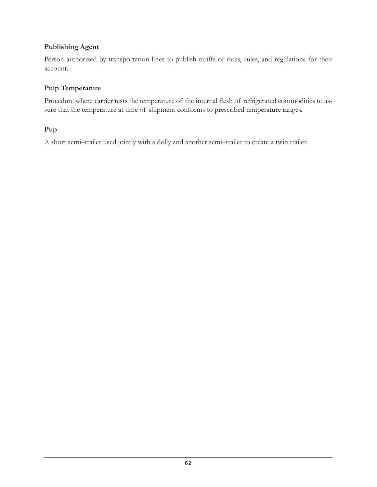# **Publishing Agent**

Person authorized by transportation lines to publish tariffs or rates, rules, and regulations for their account.

## **Pulp Temperature**

Procedure where carrier tests the temperature of the internal flesh of refrigerated commodities to assure that the temperature at time of shipment conforms to prescribed temperature ranges.

### **Pup**

A short semi–trailer used jointly with a dolly and another semi–trailer to create a twin trailer.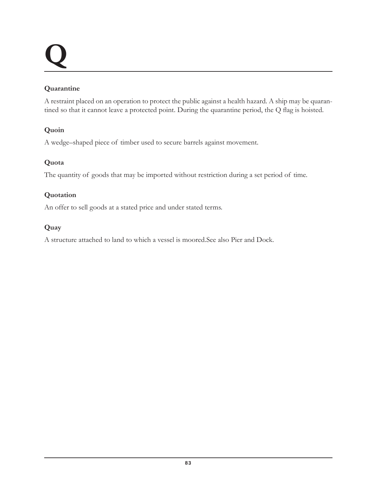# **Q**

# **Quarantine**

A restraint placed on an operation to protect the public against a health hazard. A ship may be quarantined so that it cannot leave a protected point. During the quarantine period, the Q flag is hoisted.

# **Quoin**

A wedge–shaped piece of timber used to secure barrels against movement.

# **Quota**

The quantity of goods that may be imported without restriction during a set period of time.

# **Quotation**

An offer to sell goods at a stated price and under stated terms.

# **Quay**

A structure attached to land to which a vessel is moored.See also Pier and Dock.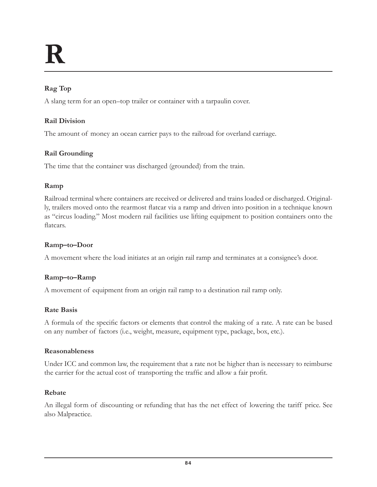# **Rag Top**

A slang term for an open–top trailer or container with a tarpaulin cover.

# **Rail Division**

The amount of money an ocean carrier pays to the railroad for overland carriage.

# **Rail Grounding**

The time that the container was discharged (grounded) from the train.

# **Ramp**

Railroad terminal where containers are received or delivered and trains loaded or discharged. Originally, trailers moved onto the rearmost Áatcar via a ramp and driven into position in a technique known as "circus loading." Most modern rail facilities use lifting equipment to position containers onto the Áatcars.

## **Ramp–to–Door**

A movement where the load initiates at an origin rail ramp and terminates at a consignee's door.

# **Ramp–to–Ramp**

A movement of equipment from an origin rail ramp to a destination rail ramp only.

# **Rate Basis**

A formula of the specific factors or elements that control the making of a rate. A rate can be based on any number of factors (i.e., weight, measure, equipment type, package, box, etc.).

### **Reasonableness**

Under ICC and common law, the requirement that a rate not be higher than is necessary to reimburse the carrier for the actual cost of transporting the traffic and allow a fair profit.

### **Rebate**

An illegal form of discounting or refunding that has the net effect of lowering the tariff price. See also Malpractice.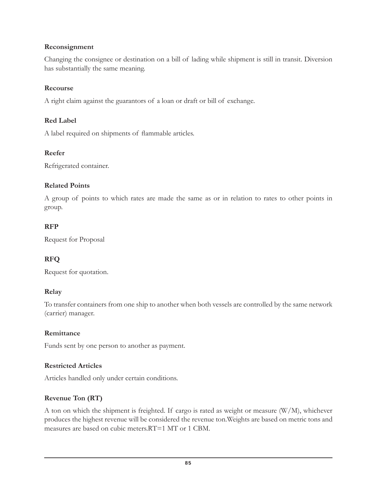## **Reconsignment**

Changing the consignee or destination on a bill of lading while shipment is still in transit. Diversion has substantially the same meaning.

### **Recourse**

A right claim against the guarantors of a loan or draft or bill of exchange.

## **Red Label**

A label required on shipments of flammable articles.

### **Reefer**

Refrigerated container.

## **Related Points**

A group of points to which rates are made the same as or in relation to rates to other points in group.

# **RFP**

Request for Proposal

# **RFQ**

Request for quotation.

# **Relay**

To transfer containers from one ship to another when both vessels are controlled by the same network (carrier) manager.

# **Remittance**

Funds sent by one person to another as payment.

### **Restricted Articles**

Articles handled only under certain conditions.

# **Revenue Ton (RT)**

A ton on which the shipment is freighted. If cargo is rated as weight or measure  $(W/M)$ , whichever produces the highest revenue will be considered the revenue ton.Weights are based on metric tons and measures are based on cubic meters.RT=1 MT or 1 CBM.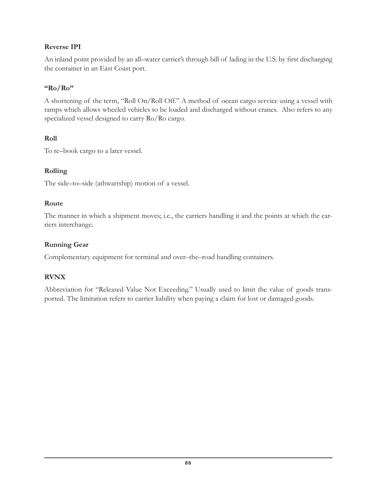# **Reverse IPI**

An inland point provided by an all–water carrier's through bill of lading in the U.S. by first discharging the container in an East Coast port.

## **"Ro/Ro"**

A shortening of the term, "Roll On/Roll Off." A method of ocean cargo service using a vessel with ramps which allows wheeled vehicles to be loaded and discharged without cranes. Also refers to any specialized vessel designed to carry Ro/Ro cargo.

## **Roll**

To re–book cargo to a later vessel.

## **Rolling**

The side–to–side (athwartship) motion of a vessel.

### **Route**

The manner in which a shipment moves; i.e., the carriers handling it and the points at which the carriers interchange.

### **Running Gear**

Complementary equipment for terminal and over–the–road handling containers.

# **RVNX**

Abbreviation for "Released Value Not Exceeding." Usually used to limit the value of goods transported. The limitation refers to carrier liability when paying a claim for lost or damaged goods.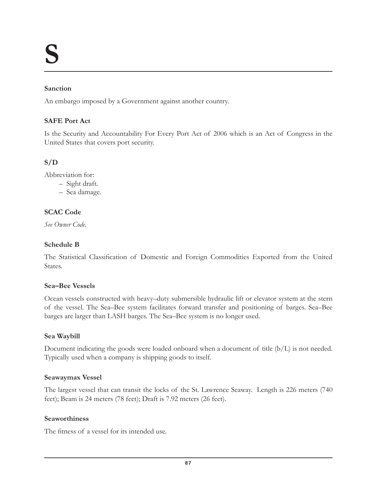#### **Sanction**

An embargo imposed by a Government against another country.

## **SAFE Port Act**

Is the Security and Accountability For Every Port Act of 2006 which is an Act of Congress in the United States that covers port security.

# **S/D**

Abbreviation for:

- Sight draft.
- Sea damage.

## **SCAC Code**

*See Owner Code.*

#### **Schedule B**

The Statistical Classification of Domestic and Foreign Commodities Exported from the United States.

#### **Sea–Bee Vessels**

Ocean vessels constructed with heavy–duty submersible hydraulic lift or elevator system at the stern of the vessel. The Sea–Bee system facilitates forward transfer and positioning of barges. Sea–Bee barges are larger than LASH barges. The Sea–Bee system is no longer used.

### **Sea Waybill**

Document indicating the goods were loaded onboard when a document of title (b/L) is not needed. Typically used when a company is shipping goods to itself.

#### **Seawaymax Vessel**

The largest vessel that can transit the locks of the St. Lawrence Seaway. Length is 226 meters (740 feet); Beam is 24 meters (78 feet); Draft is 7.92 meters (26 feet).

#### **Seaworthiness**

The fitness of a vessel for its intended use.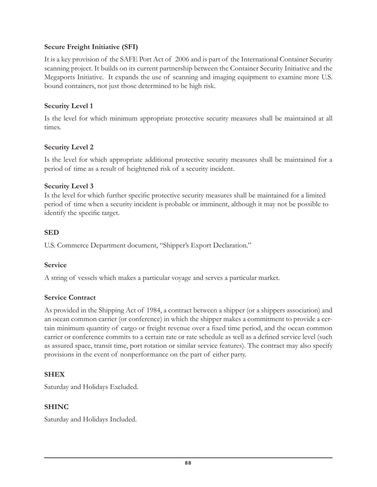## **Secure Freight Initiative (SFI)**

It is a key provision of the SAFE Port Act of 2006 and is part of the International Container Security scanning project. It builds on its current partnership between the Container Security Initiative and the Megaports Initiative. It expands the use of scanning and imaging equipment to examine more U.S. bound containers, not just those determined to be high risk.

## **Security Level 1**

Is the level for which minimum appropriate protective security measures shall be maintained at all times.

## **Security Level 2**

Is the level for which appropriate additional protective security measures shall be maintained for a period of time as a result of heightened risk of a security incident.

## **Security Level 3**

Is the level for which further specific protective security measures shall be maintained for a limited period of time when a security incident is probable or imminent, although it may not be possible to identify the specific target.

## **SED**

U.S. Commerce Department document, "Shipper's Export Declaration."

# **Service**

A string of vessels which makes a particular voyage and serves a particular market.

# **Service Contract**

As provided in the Shipping Act of 1984, a contract between a shipper (or a shippers association) and an ocean common carrier (or conference) in which the shipper makes a commitment to provide a certain minimum quantity of cargo or freight revenue over a fixed time period, and the ocean common carrier or conference commits to a certain rate or rate schedule as well as a defined service level (such as assured space, transit time, port rotation or similar service features). The contract may also specify provisions in the event of nonperformance on the part of either party.

# **SHEX**

Saturday and Holidays Excluded.

# **SHINC**

Saturday and Holidays Included.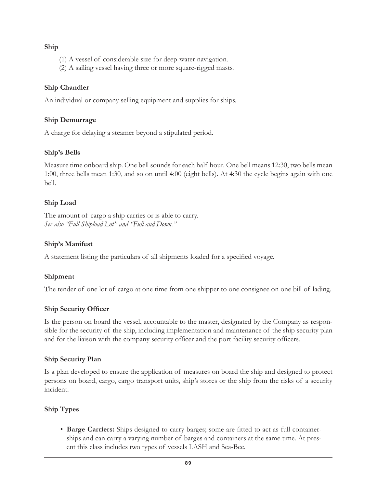## **Ship**

- (1) A vessel of considerable size for deep-water navigation.
- (2) A sailing vessel having three or more square-rigged masts.

# **Ship Chandler**

An individual or company selling equipment and supplies for ships.

# **Ship Demurrage**

A charge for delaying a steamer beyond a stipulated period.

# **Ship's Bells**

Measure time onboard ship. One bell sounds for each half hour. One bell means 12:30, two bells mean 1:00, three bells mean 1:30, and so on until 4:00 (eight bells). At 4:30 the cycle begins again with one bell.

# **Ship Load**

The amount of cargo a ship carries or is able to carry. *See also "Full Shipload Lot" and "Full and Down."*

# **Ship's Manifest**

A statement listing the particulars of all shipments loaded for a specified voyage.

# **Shipment**

The tender of one lot of cargo at one time from one shipper to one consignee on one bill of lading.

# **Ship Security Officer**

Is the person on board the vessel, accountable to the master, designated by the Company as responsible for the security of the ship, including implementation and maintenance of the ship security plan and for the liaison with the company security officer and the port facility security officers.

# **Ship Security Plan**

Is a plan developed to ensure the application of measures on board the ship and designed to protect persons on board, cargo, cargo transport units, ship's stores or the ship from the risks of a security incident.

# **Ship Types**

• **Barge Carriers:** Ships designed to carry barges; some are fitted to act as full containerships and can carry a varying number of barges and containers at the same time. At present this class includes two types of vessels LASH and Sea-Bee.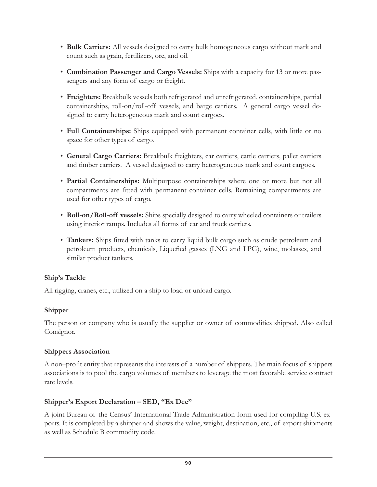- Bulk Carriers: All vessels designed to carry bulk homogeneous cargo without mark and count such as grain, fertilizers, ore, and oil.
- Combination Passenger and Cargo Vessels: Ships with a capacity for 13 or more passengers and any form of cargo or freight.
- Freighters: Breakbulk vessels both refrigerated and unrefrigerated, containerships, partial containerships, roll-on/roll-off vessels, and barge carriers. A general cargo vessel designed to carry heterogeneous mark and count cargoes.
- Full Containerships: Ships equipped with permanent container cells, with little or no space for other types of cargo.
- General Cargo Carriers: Breakbulk freighters, car carriers, cattle carriers, pallet carriers and timber carriers. A vessel designed to carry heterogeneous mark and count cargoes.
- Partial Containerships: Multipurpose containerships where one or more but not all compartments are Àtted with permanent container cells. Remaining compartments are used for other types of cargo.
- **Roll-on/Roll-off vessels:** Ships specially designed to carry wheeled containers or trailers using interior ramps. Includes all forms of car and truck carriers.
- Tankers: Ships fitted with tanks to carry liquid bulk cargo such as crude petroleum and petroleum products, chemicals, Liquefied gasses (LNG and LPG), wine, molasses, and similar product tankers.

# **Ship's Tackle**

All rigging, cranes, etc., utilized on a ship to load or unload cargo.

# **Shipper**

The person or company who is usually the supplier or owner of commodities shipped. Also called Consignor.

# **Shippers Association**

A non–profit entity that represents the interests of a number of shippers. The main focus of shippers associations is to pool the cargo volumes of members to leverage the most favorable service contract rate levels.

# **Shipper's Export Declaration – SED, "Ex Dec"**

A joint Bureau of the Census' International Trade Administration form used for compiling U.S. exports. It is completed by a shipper and shows the value, weight, destination, etc., of export shipments as well as Schedule B commodity code.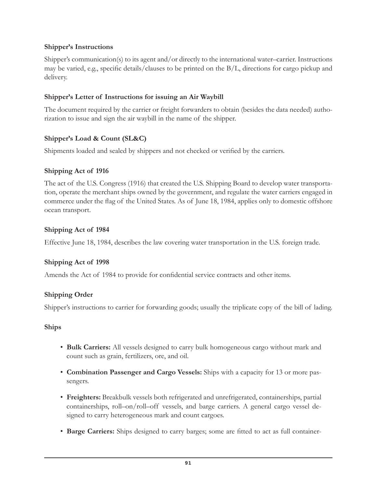# **Shipper's Instructions**

Shipper's communication(s) to its agent and/or directly to the international water–carrier. Instructions may be varied, e.g., specific details/clauses to be printed on the  $B/L$ , directions for cargo pickup and delivery.

## **Shipper's Letter of Instructions for issuing an Air Waybill**

The document required by the carrier or freight forwarders to obtain (besides the data needed) authorization to issue and sign the air waybill in the name of the shipper.

# **Shipper's Load & Count (SL&C)**

Shipments loaded and sealed by shippers and not checked or verified by the carriers.

## **Shipping Act of 1916**

The act of the U.S. Congress (1916) that created the U.S. Shipping Board to develop water transportation, operate the merchant ships owned by the government, and regulate the water carriers engaged in commerce under the Áag of the United States. As of June 18, 1984, applies only to domestic offshore ocean transport.

## **Shipping Act of 1984**

Effective June 18, 1984, describes the law covering water transportation in the U.S. foreign trade.

### **Shipping Act of 1998**

Amends the Act of 1984 to provide for confidential service contracts and other items.

### **Shipping Order**

Shipper's instructions to carrier for forwarding goods; usually the triplicate copy of the bill of lading.

### **Ships**

- Bulk Carriers: All vessels designed to carry bulk homogeneous cargo without mark and count such as grain, fertilizers, ore, and oil.
- Combination Passenger and Cargo Vessels: Ships with a capacity for 13 or more passengers.
- Freighters: Breakbulk vessels both refrigerated and unrefrigerated, containerships, partial containerships, roll–on/roll–off vessels, and barge carriers. A general cargo vessel designed to carry heterogeneous mark and count cargoes.
- Barge Carriers: Ships designed to carry barges; some are fitted to act as full container-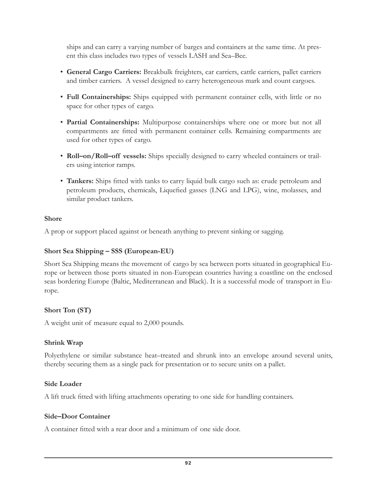ships and can carry a varying number of barges and containers at the same time. At present this class includes two types of vessels LASH and Sea–Bee.

- General Cargo Carriers: Breakbulk freighters, car carriers, cattle carriers, pallet carriers and timber carriers. A vessel designed to carry heterogeneous mark and count cargoes.
- Full Containerships: Ships equipped with permanent container cells, with little or no space for other types of cargo.
- Partial Containerships: Multipurpose containerships where one or more but not all compartments are fitted with permanent container cells. Remaining compartments are used for other types of cargo.
- Roll–on/Roll–off vessels: Ships specially designed to carry wheeled containers or trailers using interior ramps.
- **Tankers:** Ships fitted with tanks to carry liquid bulk cargo such as: crude petroleum and petroleum products, chemicals, Liquefied gasses (LNG and LPG), wine, molasses, and similar product tankers.

### **Shore**

A prop or support placed against or beneath anything to prevent sinking or sagging.

# **Short Sea Shipping – SSS (European-EU)**

Short Sea Shipping means the movement of cargo by sea between ports situated in geographical Europe or between those ports situated in non-European countries having a coastline on the enclosed seas bordering Europe (Baltic, Mediterranean and Black). It is a successful mode of transport in Europe.

# **Short Ton (ST)**

A weight unit of measure equal to 2,000 pounds.

# **Shrink Wrap**

Polyethylene or similar substance heat–treated and shrunk into an envelope around several units, thereby securing them as a single pack for presentation or to secure units on a pallet.

# **Side Loader**

A lift truck Àtted with lifting attachments operating to one side for handling containers.

# **Side–Door Container**

A container fitted with a rear door and a minimum of one side door.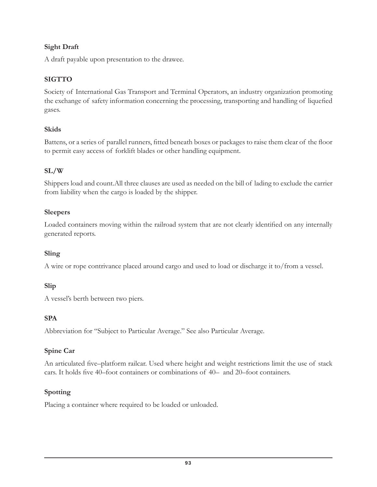# **Sight Draft**

A draft payable upon presentation to the drawee.

# **SIGTTO**

Society of International Gas Transport and Terminal Operators, an industry organization promoting the exchange of safety information concerning the processing, transporting and handling of liquefied gases.

# **Skids**

Battens, or a series of parallel runners, fitted beneath boxes or packages to raise them clear of the floor to permit easy access of forklift blades or other handling equipment.

# **SL/W**

Shippers load and count.All three clauses are used as needed on the bill of lading to exclude the carrier from liability when the cargo is loaded by the shipper.

# **Sleepers**

Loaded containers moving within the railroad system that are not clearly identified on any internally generated reports.

# **Sling**

A wire or rope contrivance placed around cargo and used to load or discharge it to/from a vessel.

# **Slip**

A vessel's berth between two piers.

# **SPA**

Abbreviation for "Subject to Particular Average." See also Particular Average.

# **Spine Car**

An articulated Àve–platform railcar. Used where height and weight restrictions limit the use of stack cars. It holds five 40–foot containers or combinations of 40– and 20–foot containers.

# **Spotting**

Placing a container where required to be loaded or unloaded.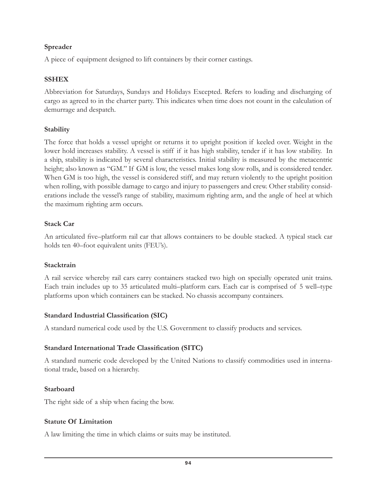# **Spreader**

A piece of equipment designed to lift containers by their corner castings.

## **SSHEX**

Abbreviation for Saturdays, Sundays and Holidays Excepted. Refers to loading and discharging of cargo as agreed to in the charter party. This indicates when time does not count in the calculation of demurrage and despatch.

## **Stability**

The force that holds a vessel upright or returns it to upright position if keeled over. Weight in the lower hold increases stability. A vessel is stiff if it has high stability, tender if it has low stability. In a ship, stability is indicated by several characteristics. Initial stability is measured by the metacentric height; also known as "GM." If GM is low, the vessel makes long slow rolls, and is considered tender. When GM is too high, the vessel is considered stiff, and may return violently to the upright position when rolling, with possible damage to cargo and injury to passengers and crew. Other stability considerations include the vessel's range of stability, maximum righting arm, and the angle of heel at which the maximum righting arm occurs.

## **Stack Car**

An articulated five–platform rail car that allows containers to be double stacked. A typical stack car holds ten 40–foot equivalent units (FEU's).

### **Stacktrain**

A rail service whereby rail cars carry containers stacked two high on specially operated unit trains. Each train includes up to 35 articulated multi–platform cars. Each car is comprised of 5 well–type platforms upon which containers can be stacked. No chassis accompany containers.

# **Standard Industrial Classification (SIC)**

A standard numerical code used by the U.S. Government to classify products and services.

# **Standard International Trade Classification (SITC)**

A standard numeric code developed by the United Nations to classify commodities used in international trade, based on a hierarchy.

### **Starboard**

The right side of a ship when facing the bow.

### **Statute Of Limitation**

A law limiting the time in which claims or suits may be instituted.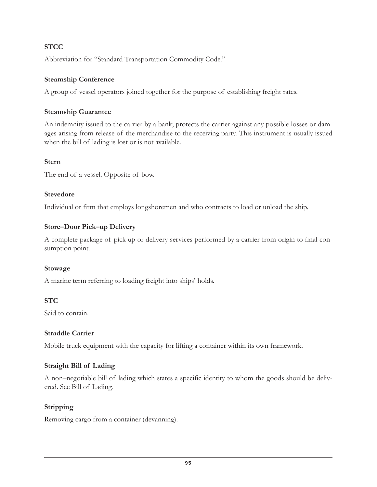# **STCC**

Abbreviation for "Standard Transportation Commodity Code."

# **Steamship Conference**

A group of vessel operators joined together for the purpose of establishing freight rates.

## **Steamship Guarantee**

An indemnity issued to the carrier by a bank; protects the carrier against any possible losses or damages arising from release of the merchandise to the receiving party. This instrument is usually issued when the bill of lading is lost or is not available.

## **Stern**

The end of a vessel. Opposite of bow.

## **Stevedore**

Individual or firm that employs longshoremen and who contracts to load or unload the ship.

## **Store–Door Pick–up Delivery**

A complete package of pick up or delivery services performed by a carrier from origin to final consumption point.

### **Stowage**

A marine term referring to loading freight into ships' holds.

# **STC**

Said to contain.

# **Straddle Carrier**

Mobile truck equipment with the capacity for lifting a container within its own framework.

# **Straight Bill of Lading**

A non–negotiable bill of lading which states a specific identity to whom the goods should be delivered. See Bill of Lading.

# **Stripping**

Removing cargo from a container (devanning).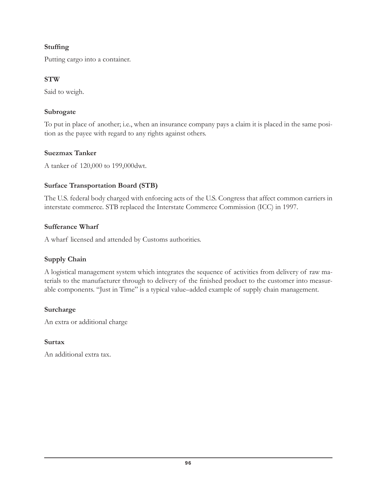# **StufÀng**

Putting cargo into a container.

# **STW**

Said to weigh.

## **Subrogate**

To put in place of another; i.e., when an insurance company pays a claim it is placed in the same position as the payee with regard to any rights against others.

# **Suezmax Tanker**

A tanker of 120,000 to 199,000dwt.

# **Surface Transportation Board (STB)**

The U.S. federal body charged with enforcing acts of the U.S. Congress that affect common carriers in interstate commerce. STB replaced the Interstate Commerce Commission (ICC) in 1997.

## **Sufferance Wharf**

A wharf licensed and attended by Customs authorities.

# **Supply Chain**

A logistical management system which integrates the sequence of activities from delivery of raw materials to the manufacturer through to delivery of the finished product to the customer into measurable components. "Just in Time" is a typical value–added example of supply chain management.

# **Surcharge**

An extra or additional charge

# **Surtax**

An additional extra tax.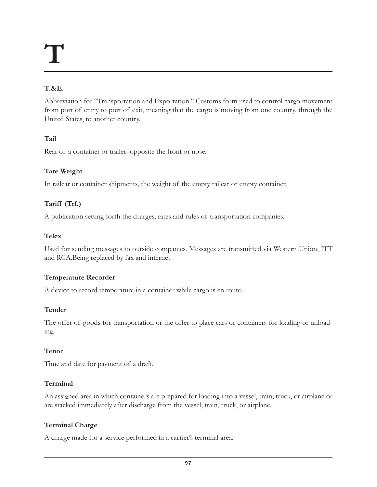# **T.&E.**

Abbreviation for "Transportation and Exportation." Customs form used to control cargo movement from port of entry to port of exit, meaning that the cargo is moving from one country, through the United States, to another country.

# **Tail**

Rear of a container or trailer–opposite the front or nose.

# **Tare Weight**

In railcar or container shipments, the weight of the empty railcar or empty container.

# **Tariff (Trf.)**

A publication setting forth the charges, rates and rules of transportation companies.

# **Telex**

Used for sending messages to outside companies. Messages are transmitted via Western Union, ITT and RCA.Being replaced by fax and internet.

# **Temperature Recorder**

A device to record temperature in a container while cargo is en route.

# **Tender**

The offer of goods for transportation or the offer to place cars or containers for loading or unloading.

# **Tenor**

Time and date for payment of a draft.

# **Terminal**

An assigned area in which containers are prepared for loading into a vessel, train, truck, or airplane or are stacked immediately after discharge from the vessel, train, truck, or airplane.

# **Terminal Charge**

A charge made for a service performed in a carrier's terminal area.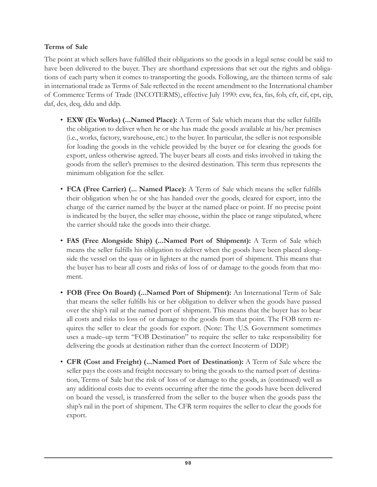# **Terms of Sale**

The point at which sellers have fulfilled their obligations so the goods in a legal sense could be said to have been delivered to the buyer. They are shorthand expressions that set out the rights and obligations of each party when it comes to transporting the goods. Following, are the thirteen terms of sale in international trade as Terms of Sale reflected in the recent amendment to the International chamber of Commerce Terms of Trade (INCOTERMS), effective July 1990: exw, fca, fas, fob, cfr, cif, cpt, cip, daf, des, deq, ddu and ddp.

- EXW (Ex Works) (... Named Place): A Term of Sale which means that the seller fulfills the obligation to deliver when he or she has made the goods available at his/her premises (i.e., works, factory, warehouse, etc.) to the buyer. In particular, the seller is not responsible for loading the goods in the vehicle provided by the buyer or for clearing the goods for export, unless otherwise agreed. The buyer bears all costs and risks involved in taking the goods from the seller's premises to the desired destination. This term thus represents the minimum obligation for the seller.
- FCA (Free Carrier) (... Named Place): A Term of Sale which means the seller fulfills their obligation when he or she has handed over the goods, cleared for export, into the charge of the carrier named by the buyer at the named place or point. If no precise point is indicated by the buyer, the seller may choose, within the place or range stipulated, where the carrier should take the goods into their charge.
- FAS (Free Alongside Ship) (...Named Port of Shipment): A Term of Sale which means the seller fulfills his obligation to deliver when the goods have been placed alongside the vessel on the quay or in lighters at the named port of shipment. This means that the buyer has to bear all costs and risks of loss of or damage to the goods from that moment.
- FOB (Free On Board) (...Named Port of Shipment): An International Term of Sale that means the seller fulfills his or her obligation to deliver when the goods have passed over the ship's rail at the named port of shipment. This means that the buyer has to bear all costs and risks to loss of or damage to the goods from that point. The FOB term requires the seller to clear the goods for export. (Note: The U.S. Government sometimes uses a made–up term "FOB Destination" to require the seller to take responsibility for delivering the goods at destination rather than the correct Incoterm of DDP.)
- CFR (Cost and Freight) (... Named Port of Destination): A Term of Sale where the seller pays the costs and freight necessary to bring the goods to the named port of destination, Terms of Sale but the risk of loss of or damage to the goods, as (continued) well as any additional costs due to events occurring after the time the goods have been delivered on board the vessel, is transferred from the seller to the buyer when the goods pass the ship's rail in the port of shipment. The CFR term requires the seller to clear the goods for export.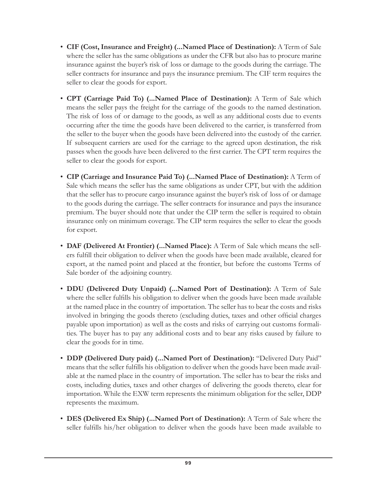- CIF (Cost, Insurance and Freight) (... Named Place of Destination): A Term of Sale where the seller has the same obligations as under the CFR but also has to procure marine insurance against the buyer's risk of loss or damage to the goods during the carriage. The seller contracts for insurance and pays the insurance premium. The CIF term requires the seller to clear the goods for export.
- **CPT** (Carriage Paid To) (... Named Place of Destination): A Term of Sale which means the seller pays the freight for the carriage of the goods to the named destination. The risk of loss of or damage to the goods, as well as any additional costs due to events occurring after the time the goods have been delivered to the carrier, is transferred from the seller to the buyer when the goods have been delivered into the custody of the carrier. If subsequent carriers are used for the carriage to the agreed upon destination, the risk passes when the goods have been delivered to the first carrier. The CPT term requires the seller to clear the goods for export.
- CIP (Carriage and Insurance Paid To) (...Named Place of Destination): A Term of Sale which means the seller has the same obligations as under CPT, but with the addition that the seller has to procure cargo insurance against the buyer's risk of loss of or damage to the goods during the carriage. The seller contracts for insurance and pays the insurance premium. The buyer should note that under the CIP term the seller is required to obtain insurance only on minimum coverage. The CIP term requires the seller to clear the goods for export.
- DAF (Delivered At Frontier) (... Named Place): A Term of Sale which means the sellers fulfill their obligation to deliver when the goods have been made available, cleared for export, at the named point and placed at the frontier, but before the customs Terms of Sale border of the adjoining country.
- DDU (Delivered Duty Unpaid) (...Named Port of Destination): A Term of Sale where the seller fulfills his obligation to deliver when the goods have been made available at the named place in the country of importation. The seller has to bear the costs and risks involved in bringing the goods thereto (excluding duties, taxes and other official charges payable upon importation) as well as the costs and risks of carrying out customs formalities. The buyer has to pay any additional costs and to bear any risks caused by failure to clear the goods for in time.
- DDP (Delivered Duty paid) (... Named Port of Destination): "Delivered Duty Paid" means that the seller fulfills his obligation to deliver when the goods have been made available at the named place in the country of importation. The seller has to bear the risks and costs, including duties, taxes and other charges of delivering the goods thereto, clear for importation. While the EXW term represents the minimum obligation for the seller, DDP represents the maximum.
- DES (Delivered Ex Ship) (...Named Port of Destination): A Term of Sale where the seller fulfills his/her obligation to deliver when the goods have been made available to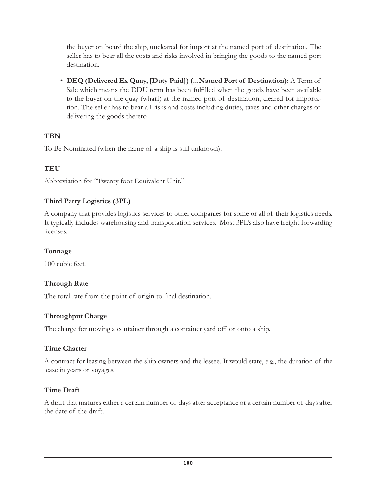the buyer on board the ship, uncleared for import at the named port of destination. The seller has to bear all the costs and risks involved in bringing the goods to the named port destination.

• DEQ (Delivered Ex Quay, [Duty Paid]) (...Named Port of Destination): A Term of Sale which means the DDU term has been fulfilled when the goods have been available to the buyer on the quay (wharf) at the named port of destination, cleared for importation. The seller has to bear all risks and costs including duties, taxes and other charges of delivering the goods thereto.

# **TBN**

To Be Nominated (when the name of a ship is still unknown).

# **TEU**

Abbreviation for "Twenty foot Equivalent Unit."

# **Third Party Logistics (3PL)**

A company that provides logistics services to other companies for some or all of their logistics needs. It typically includes warehousing and transportation services. Most 3PL's also have freight forwarding licenses.

# **Tonnage**

100 cubic feet.

# **Through Rate**

The total rate from the point of origin to final destination.

# **Throughput Charge**

The charge for moving a container through a container yard off or onto a ship.

# **Time Charter**

A contract for leasing between the ship owners and the lessee. It would state, e.g., the duration of the lease in years or voyages.

# **Time Draft**

A draft that matures either a certain number of days after acceptance or a certain number of days after the date of the draft.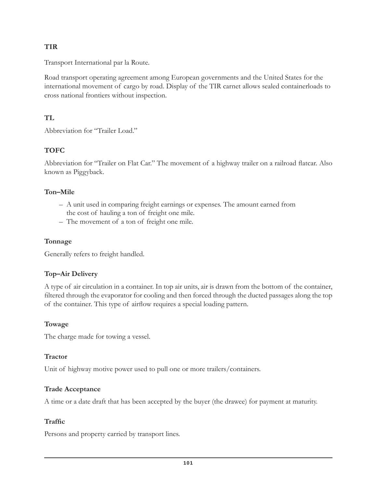# **TIR**

Transport International par la Route.

Road transport operating agreement among European governments and the United States for the international movement of cargo by road. Display of the TIR carnet allows sealed containerloads to cross national frontiers without inspection.

# **TL**

Abbreviation for "Trailer Load."

# **TOFC**

Abbreviation for "Trailer on Flat Car." The movement of a highway trailer on a railroad Áatcar. Also known as Piggyback.

## **Ton–Mile**

- A unit used in comparing freight earnings or expenses. The amount earned from
- the cost of hauling a ton of freight one mile.
- The movement of a ton of freight one mile.

# **Tonnage**

Generally refers to freight handled.

# **Top–Air Delivery**

A type of air circulation in a container. In top air units, air is drawn from the bottom of the container, filtered through the evaporator for cooling and then forced through the ducted passages along the top of the container. This type of airÁow requires a special loading pattern.

# **Towage**

The charge made for towing a vessel.

### **Tractor**

Unit of highway motive power used to pull one or more trailers/containers.

# **Trade Acceptance**

A time or a date draft that has been accepted by the buyer (the drawee) for payment at maturity.

# $T$ **raffic**

Persons and property carried by transport lines.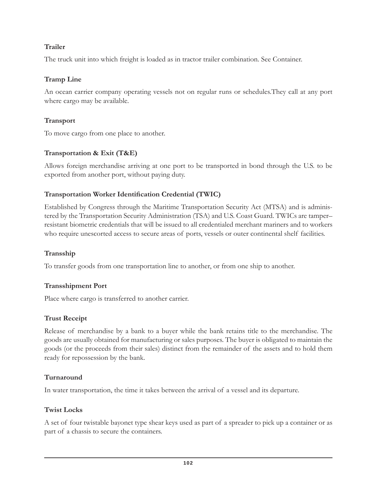# **Trailer**

The truck unit into which freight is loaded as in tractor trailer combination. See Container.

# **Tramp Line**

An ocean carrier company operating vessels not on regular runs or schedules.They call at any port where cargo may be available.

# **Transport**

To move cargo from one place to another.

# **Transportation & Exit (T&E)**

Allows foreign merchandise arriving at one port to be transported in bond through the U.S. to be exported from another port, without paying duty.

# **Transportation Worker Identification Credential (TWIC)**

Established by Congress through the Maritime Transportation Security Act (MTSA) and is administered by the Transportation Security Administration (TSA) and U.S. Coast Guard. TWICs are tamper– resistant biometric credentials that will be issued to all credentialed merchant mariners and to workers who require unescorted access to secure areas of ports, vessels or outer continental shelf facilities.

# **Transship**

To transfer goods from one transportation line to another, or from one ship to another.

# **Transshipment Port**

Place where cargo is transferred to another carrier.

# **Trust Receipt**

Release of merchandise by a bank to a buyer while the bank retains title to the merchandise. The goods are usually obtained for manufacturing or sales purposes. The buyer is obligated to maintain the goods (or the proceeds from their sales) distinct from the remainder of the assets and to hold them ready for repossession by the bank.

# **Turnaround**

In water transportation, the time it takes between the arrival of a vessel and its departure.

# **Twist Locks**

A set of four twistable bayonet type shear keys used as part of a spreader to pick up a container or as part of a chassis to secure the containers.